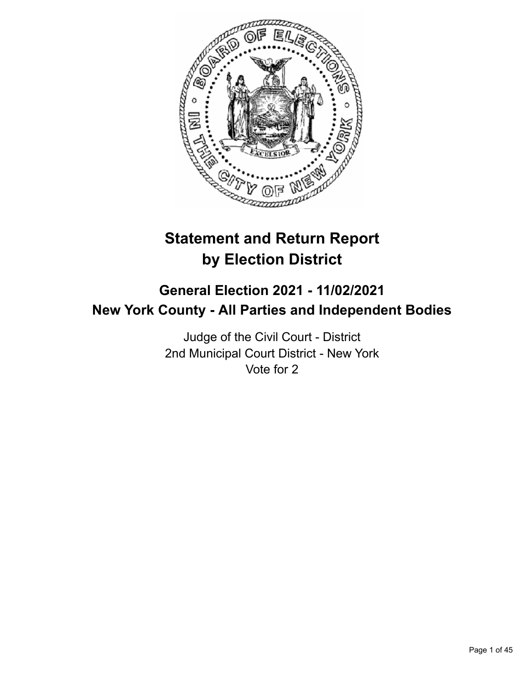

# **Statement and Return Report by Election District**

## **General Election 2021 - 11/02/2021 New York County - All Parties and Independent Bodies**

Judge of the Civil Court - District 2nd Municipal Court District - New York Vote for 2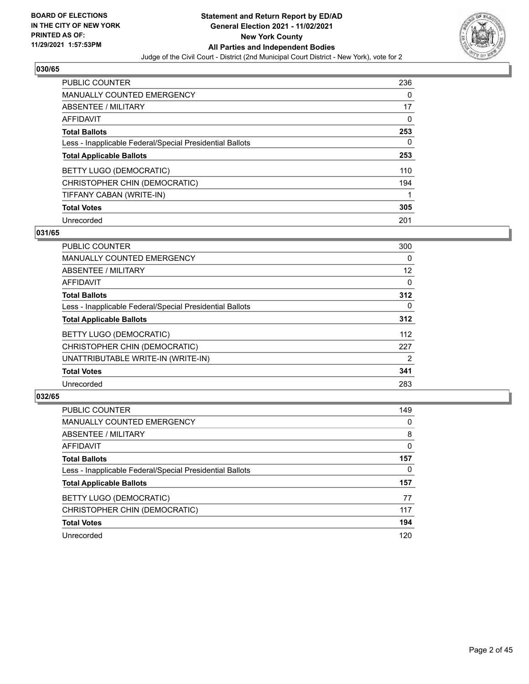

| <b>PUBLIC COUNTER</b>                                    | 236 |
|----------------------------------------------------------|-----|
| MANUALLY COUNTED EMERGENCY                               | 0   |
| ABSENTEE / MILITARY                                      | 17  |
| AFFIDAVIT                                                | 0   |
| <b>Total Ballots</b>                                     | 253 |
| Less - Inapplicable Federal/Special Presidential Ballots | 0   |
| <b>Total Applicable Ballots</b>                          | 253 |
|                                                          |     |
| BETTY LUGO (DEMOCRATIC)                                  | 110 |
| CHRISTOPHER CHIN (DEMOCRATIC)                            | 194 |
| TIFFANY CABAN (WRITE-IN)                                 |     |
| <b>Total Votes</b>                                       | 305 |

#### **031/65**

| <b>PUBLIC COUNTER</b>                                    | 300      |
|----------------------------------------------------------|----------|
| <b>MANUALLY COUNTED EMERGENCY</b>                        | 0        |
| <b>ABSENTEE / MILITARY</b>                               | 12       |
| <b>AFFIDAVIT</b>                                         | $\Omega$ |
| <b>Total Ballots</b>                                     | 312      |
| Less - Inapplicable Federal/Special Presidential Ballots | $\Omega$ |
| <b>Total Applicable Ballots</b>                          | 312      |
| <b>BETTY LUGO (DEMOCRATIC)</b>                           | 112      |
| CHRISTOPHER CHIN (DEMOCRATIC)                            | 227      |
| UNATTRIBUTABLE WRITE-IN (WRITE-IN)                       | 2        |
| <b>Total Votes</b>                                       | 341      |
| Unrecorded                                               | 283      |

| <b>PUBLIC COUNTER</b>                                    | 149      |
|----------------------------------------------------------|----------|
| <b>MANUALLY COUNTED EMERGENCY</b>                        | $\Omega$ |
| ABSENTEE / MILITARY                                      | 8        |
| AFFIDAVIT                                                | $\Omega$ |
| <b>Total Ballots</b>                                     | 157      |
| Less - Inapplicable Federal/Special Presidential Ballots | 0        |
| <b>Total Applicable Ballots</b>                          | 157      |
| BETTY LUGO (DEMOCRATIC)                                  | 77       |
| CHRISTOPHER CHIN (DEMOCRATIC)                            | 117      |
| <b>Total Votes</b>                                       | 194      |
| Unrecorded                                               | 120      |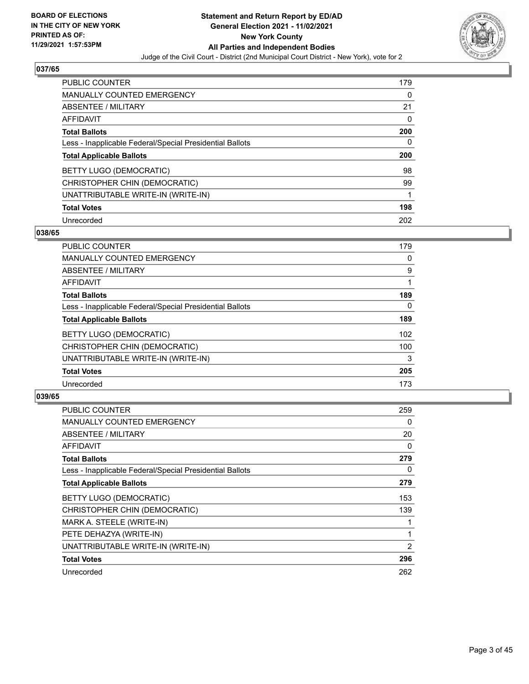

| <b>PUBLIC COUNTER</b>                                    | 179 |
|----------------------------------------------------------|-----|
| <b>MANUALLY COUNTED EMERGENCY</b>                        | 0   |
| ABSENTEE / MILITARY                                      | 21  |
| AFFIDAVIT                                                | 0   |
| <b>Total Ballots</b>                                     | 200 |
| Less - Inapplicable Federal/Special Presidential Ballots | 0   |
|                                                          |     |
| <b>Total Applicable Ballots</b>                          | 200 |
| BETTY LUGO (DEMOCRATIC)                                  | 98  |
| CHRISTOPHER CHIN (DEMOCRATIC)                            | 99  |
| UNATTRIBUTABLE WRITE-IN (WRITE-IN)                       |     |
| <b>Total Votes</b>                                       | 198 |

#### **038/65**

| <b>PUBLIC COUNTER</b>                                    | 179      |
|----------------------------------------------------------|----------|
| MANUALLY COUNTED EMERGENCY                               | 0        |
| ABSENTEE / MILITARY                                      | 9        |
| <b>AFFIDAVIT</b>                                         |          |
| <b>Total Ballots</b>                                     | 189      |
| Less - Inapplicable Federal/Special Presidential Ballots | $\Omega$ |
| <b>Total Applicable Ballots</b>                          | 189      |
| BETTY LUGO (DEMOCRATIC)                                  | 102      |
| CHRISTOPHER CHIN (DEMOCRATIC)                            | 100      |
| UNATTRIBUTABLE WRITE-IN (WRITE-IN)                       | 3        |
| <b>Total Votes</b>                                       | 205      |
| Unrecorded                                               | 173      |

| <b>PUBLIC COUNTER</b>                                    | 259 |
|----------------------------------------------------------|-----|
| <b>MANUALLY COUNTED EMERGENCY</b>                        | 0   |
| ABSENTEE / MILITARY                                      | 20  |
| AFFIDAVIT                                                | 0   |
| <b>Total Ballots</b>                                     | 279 |
| Less - Inapplicable Federal/Special Presidential Ballots | 0   |
| <b>Total Applicable Ballots</b>                          | 279 |
| BETTY LUGO (DEMOCRATIC)                                  | 153 |
| CHRISTOPHER CHIN (DEMOCRATIC)                            | 139 |
| MARK A. STEELE (WRITE-IN)                                |     |
| PETE DEHAZYA (WRITE-IN)                                  |     |
| UNATTRIBUTABLE WRITE-IN (WRITE-IN)                       | 2   |
| <b>Total Votes</b>                                       | 296 |
| Unrecorded                                               | 262 |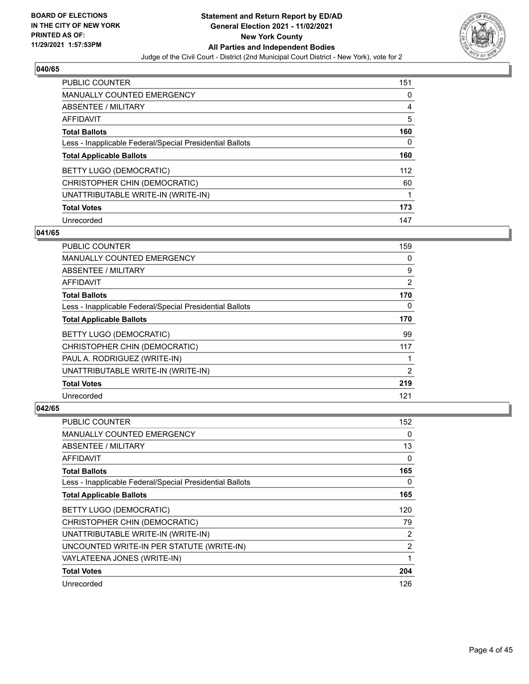

| <b>PUBLIC COUNTER</b>                                    | 151 |
|----------------------------------------------------------|-----|
| <b>MANUALLY COUNTED EMERGENCY</b>                        | 0   |
| ABSENTEE / MILITARY                                      | 4   |
| <b>AFFIDAVIT</b>                                         | 5   |
| <b>Total Ballots</b>                                     | 160 |
| Less - Inapplicable Federal/Special Presidential Ballots | 0   |
| <b>Total Applicable Ballots</b>                          | 160 |
| BETTY LUGO (DEMOCRATIC)                                  | 112 |
| CHRISTOPHER CHIN (DEMOCRATIC)                            | 60  |
| UNATTRIBUTABLE WRITE-IN (WRITE-IN)                       |     |
| <b>Total Votes</b>                                       | 173 |
| Unrecorded                                               | 147 |

## **041/65**

| PUBLIC COUNTER                                           | 159      |
|----------------------------------------------------------|----------|
| MANUALLY COUNTED EMERGENCY                               | 0        |
| ABSENTEE / MILITARY                                      | 9        |
| AFFIDAVIT                                                | 2        |
| <b>Total Ballots</b>                                     | 170      |
| Less - Inapplicable Federal/Special Presidential Ballots | $\Omega$ |
| <b>Total Applicable Ballots</b>                          | 170      |
| BETTY LUGO (DEMOCRATIC)                                  | 99       |
| CHRISTOPHER CHIN (DEMOCRATIC)                            | 117      |
| PAUL A. RODRIGUEZ (WRITE-IN)                             |          |
| UNATTRIBUTABLE WRITE-IN (WRITE-IN)                       | 2        |
| <b>Total Votes</b>                                       | 219      |
| Unrecorded                                               | 121      |

| PUBLIC COUNTER                                           | 152            |
|----------------------------------------------------------|----------------|
| <b>MANUALLY COUNTED EMERGENCY</b>                        | 0              |
| ABSENTEE / MILITARY                                      | 13             |
| AFFIDAVIT                                                | $\Omega$       |
| <b>Total Ballots</b>                                     | 165            |
| Less - Inapplicable Federal/Special Presidential Ballots | 0              |
| <b>Total Applicable Ballots</b>                          | 165            |
| BETTY LUGO (DEMOCRATIC)                                  | 120            |
| CHRISTOPHER CHIN (DEMOCRATIC)                            | 79             |
| UNATTRIBUTABLE WRITE-IN (WRITE-IN)                       | $\overline{2}$ |
| UNCOUNTED WRITE-IN PER STATUTE (WRITE-IN)                | $\overline{2}$ |
| VAYLATEENA JONES (WRITE-IN)                              | 1              |
| <b>Total Votes</b>                                       | 204            |
| Unrecorded                                               | 126            |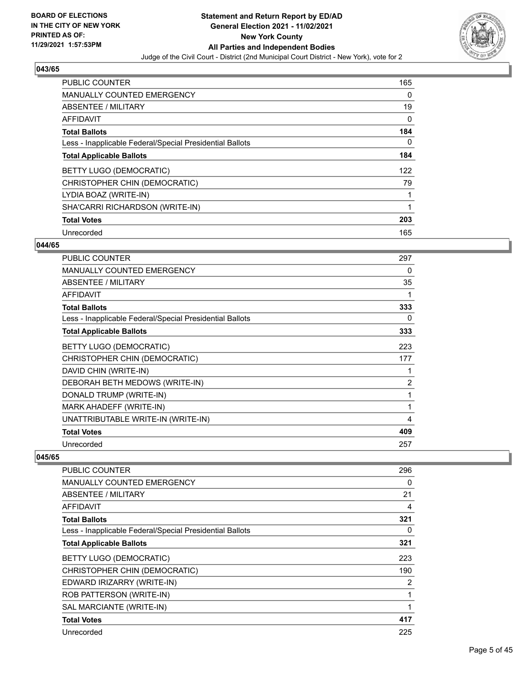

| PUBLIC COUNTER                                           | 165 |
|----------------------------------------------------------|-----|
| <b>MANUALLY COUNTED EMERGENCY</b>                        | 0   |
| ABSENTEE / MILITARY                                      | 19  |
| <b>AFFIDAVIT</b>                                         | 0   |
| <b>Total Ballots</b>                                     | 184 |
| Less - Inapplicable Federal/Special Presidential Ballots | 0   |
| <b>Total Applicable Ballots</b>                          | 184 |
| BETTY LUGO (DEMOCRATIC)                                  | 122 |
| CHRISTOPHER CHIN (DEMOCRATIC)                            | 79  |
| LYDIA BOAZ (WRITE-IN)                                    |     |
| SHA'CARRI RICHARDSON (WRITE-IN)                          | 1   |
| <b>Total Votes</b>                                       | 203 |
| Unrecorded                                               | 165 |

## **044/65**

| PUBLIC COUNTER                                           | 297            |
|----------------------------------------------------------|----------------|
| <b>MANUALLY COUNTED EMERGENCY</b>                        | 0              |
| <b>ABSENTEE / MILITARY</b>                               | 35             |
| <b>AFFIDAVIT</b>                                         |                |
| <b>Total Ballots</b>                                     | 333            |
| Less - Inapplicable Federal/Special Presidential Ballots | 0              |
| <b>Total Applicable Ballots</b>                          | 333            |
| <b>BETTY LUGO (DEMOCRATIC)</b>                           | 223            |
| CHRISTOPHER CHIN (DEMOCRATIC)                            | 177            |
| DAVID CHIN (WRITE-IN)                                    |                |
| DEBORAH BETH MEDOWS (WRITE-IN)                           | $\overline{2}$ |
| DONALD TRUMP (WRITE-IN)                                  | 1              |
| MARK AHADEFF (WRITE-IN)                                  | 1              |
| UNATTRIBUTABLE WRITE-IN (WRITE-IN)                       | 4              |
| <b>Total Votes</b>                                       | 409            |
| Unrecorded                                               | 257            |

| <b>PUBLIC COUNTER</b>                                    | 296      |
|----------------------------------------------------------|----------|
| MANUALLY COUNTED EMERGENCY                               | 0        |
| ABSENTEE / MILITARY                                      | 21       |
| <b>AFFIDAVIT</b>                                         | 4        |
| <b>Total Ballots</b>                                     | 321      |
| Less - Inapplicable Federal/Special Presidential Ballots | $\Omega$ |
| <b>Total Applicable Ballots</b>                          | 321      |
| BETTY LUGO (DEMOCRATIC)                                  | 223      |
| CHRISTOPHER CHIN (DEMOCRATIC)                            | 190      |
| EDWARD IRIZARRY (WRITE-IN)                               | 2        |
| ROB PATTERSON (WRITE-IN)                                 | 1        |
| SAL MARCIANTE (WRITE-IN)                                 | 1        |
| <b>Total Votes</b>                                       | 417      |
| Unrecorded                                               | 225      |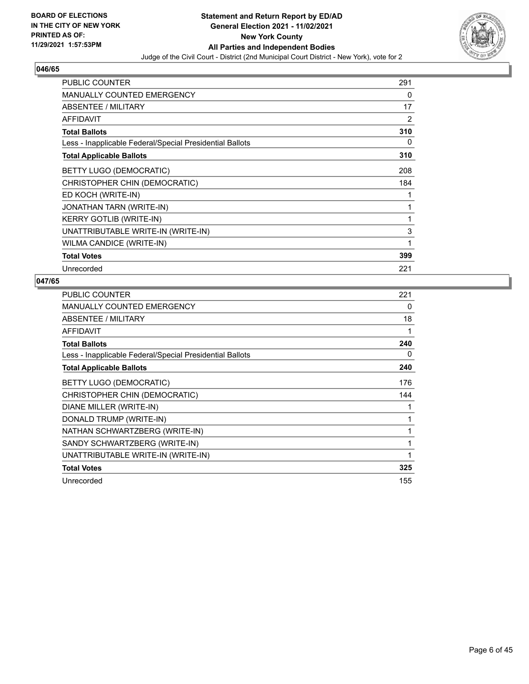

| PUBLIC COUNTER                                           | 291 |
|----------------------------------------------------------|-----|
| <b>MANUALLY COUNTED EMERGENCY</b>                        | 0   |
| <b>ABSENTEE / MILITARY</b>                               | 17  |
| <b>AFFIDAVIT</b>                                         | 2   |
| <b>Total Ballots</b>                                     | 310 |
| Less - Inapplicable Federal/Special Presidential Ballots | 0   |
| <b>Total Applicable Ballots</b>                          | 310 |
| <b>BETTY LUGO (DEMOCRATIC)</b>                           | 208 |
| CHRISTOPHER CHIN (DEMOCRATIC)                            | 184 |
| ED KOCH (WRITE-IN)                                       | 1   |
| <b>JONATHAN TARN (WRITE-IN)</b>                          | 1   |
| <b>KERRY GOTLIB (WRITE-IN)</b>                           | 1   |
| UNATTRIBUTABLE WRITE-IN (WRITE-IN)                       | 3   |
| WILMA CANDICE (WRITE-IN)                                 | 1   |
| <b>Total Votes</b>                                       | 399 |
| Unrecorded                                               | 221 |

| <b>PUBLIC COUNTER</b>                                    | 221 |
|----------------------------------------------------------|-----|
| MANUALLY COUNTED EMERGENCY                               | 0   |
| ABSENTEE / MILITARY                                      | 18  |
| AFFIDAVIT                                                |     |
| <b>Total Ballots</b>                                     | 240 |
| Less - Inapplicable Federal/Special Presidential Ballots | 0   |
| <b>Total Applicable Ballots</b>                          | 240 |
| <b>BETTY LUGO (DEMOCRATIC)</b>                           | 176 |
| CHRISTOPHER CHIN (DEMOCRATIC)                            | 144 |
| DIANE MILLER (WRITE-IN)                                  |     |
| DONALD TRUMP (WRITE-IN)                                  |     |
| NATHAN SCHWARTZBERG (WRITE-IN)                           |     |
| SANDY SCHWARTZBERG (WRITE-IN)                            | 1   |
| UNATTRIBUTABLE WRITE-IN (WRITE-IN)                       | 1   |
| <b>Total Votes</b>                                       | 325 |
| Unrecorded                                               | 155 |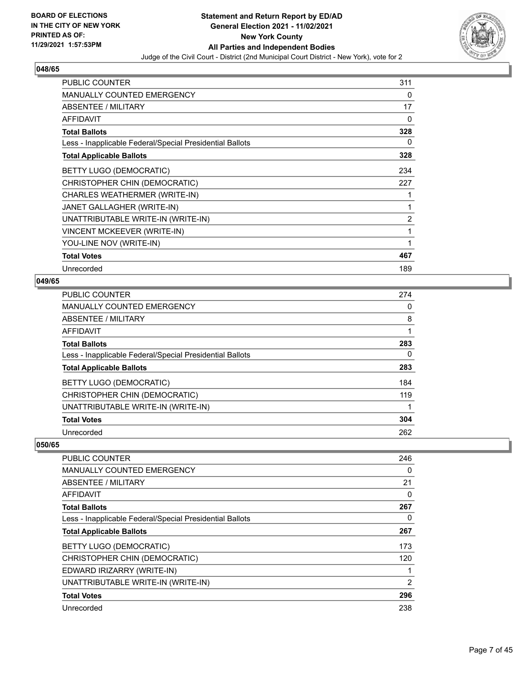

| <b>PUBLIC COUNTER</b>                                    | 311 |
|----------------------------------------------------------|-----|
| <b>MANUALLY COUNTED EMERGENCY</b>                        | 0   |
| ABSENTEE / MILITARY                                      | 17  |
| <b>AFFIDAVIT</b>                                         | 0   |
| <b>Total Ballots</b>                                     | 328 |
| Less - Inapplicable Federal/Special Presidential Ballots | 0   |
| <b>Total Applicable Ballots</b>                          | 328 |
| BETTY LUGO (DEMOCRATIC)                                  | 234 |
| CHRISTOPHER CHIN (DEMOCRATIC)                            | 227 |
| CHARLES WEATHERMER (WRITE-IN)                            |     |
| JANET GALLAGHER (WRITE-IN)                               | 1   |
| UNATTRIBUTABLE WRITE-IN (WRITE-IN)                       | 2   |
| <b>VINCENT MCKEEVER (WRITE-IN)</b>                       | 1   |
| YOU-LINE NOV (WRITE-IN)                                  | 1   |
| <b>Total Votes</b>                                       | 467 |
| Unrecorded                                               | 189 |

## **049/65**

| PUBLIC COUNTER                                           | 274 |
|----------------------------------------------------------|-----|
| <b>MANUALLY COUNTED EMERGENCY</b>                        | 0   |
| ABSENTEE / MILITARY                                      | 8   |
| AFFIDAVIT                                                |     |
| <b>Total Ballots</b>                                     | 283 |
| Less - Inapplicable Federal/Special Presidential Ballots | 0   |
| <b>Total Applicable Ballots</b>                          | 283 |
| <b>BETTY LUGO (DEMOCRATIC)</b>                           | 184 |
| CHRISTOPHER CHIN (DEMOCRATIC)                            | 119 |
| UNATTRIBUTABLE WRITE-IN (WRITE-IN)                       |     |
| <b>Total Votes</b>                                       | 304 |
| Unrecorded                                               | 262 |

| <b>PUBLIC COUNTER</b>                                    | 246 |
|----------------------------------------------------------|-----|
| <b>MANUALLY COUNTED EMERGENCY</b>                        | 0   |
| ABSENTEE / MILITARY                                      | 21  |
| AFFIDAVIT                                                | 0   |
| <b>Total Ballots</b>                                     | 267 |
| Less - Inapplicable Federal/Special Presidential Ballots | 0   |
| <b>Total Applicable Ballots</b>                          | 267 |
| BETTY LUGO (DEMOCRATIC)                                  | 173 |
| CHRISTOPHER CHIN (DEMOCRATIC)                            | 120 |
| EDWARD IRIZARRY (WRITE-IN)                               |     |
| UNATTRIBUTABLE WRITE-IN (WRITE-IN)                       | 2   |
| <b>Total Votes</b>                                       | 296 |
| Unrecorded                                               | 238 |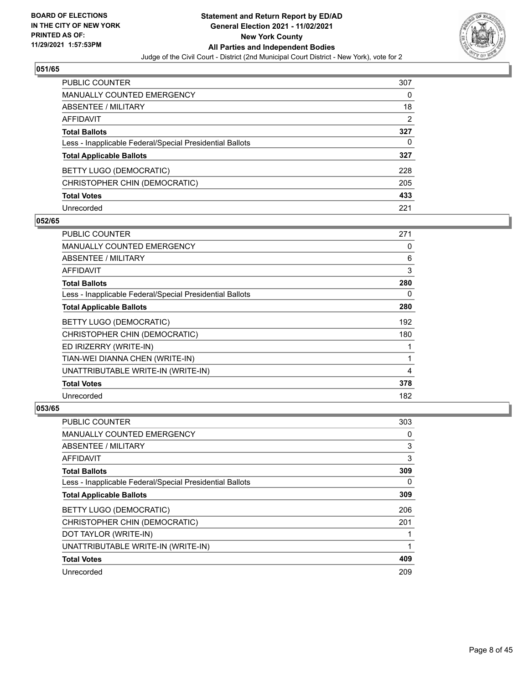

| PUBLIC COUNTER                                           | 307            |
|----------------------------------------------------------|----------------|
| <b>MANUALLY COUNTED EMERGENCY</b>                        | 0              |
| ABSENTEE / MILITARY                                      | 18             |
| <b>AFFIDAVIT</b>                                         | $\overline{2}$ |
| <b>Total Ballots</b>                                     | 327            |
| Less - Inapplicable Federal/Special Presidential Ballots | 0              |
| <b>Total Applicable Ballots</b>                          | 327            |
| BETTY LUGO (DEMOCRATIC)                                  | 228            |
| CHRISTOPHER CHIN (DEMOCRATIC)                            | 205            |
| <b>Total Votes</b>                                       | 433            |
| Unrecorded                                               | 221            |

## **052/65**

| PUBLIC COUNTER                                           | 271 |
|----------------------------------------------------------|-----|
| <b>MANUALLY COUNTED EMERGENCY</b>                        | 0   |
| ABSENTEE / MILITARY                                      | 6   |
| AFFIDAVIT                                                | 3   |
| <b>Total Ballots</b>                                     | 280 |
| Less - Inapplicable Federal/Special Presidential Ballots | 0   |
| <b>Total Applicable Ballots</b>                          | 280 |
| <b>BETTY LUGO (DEMOCRATIC)</b>                           | 192 |
| CHRISTOPHER CHIN (DEMOCRATIC)                            | 180 |
| ED IRIZERRY (WRITE-IN)                                   |     |
| TIAN-WEI DIANNA CHEN (WRITE-IN)                          |     |
| UNATTRIBUTABLE WRITE-IN (WRITE-IN)                       | 4   |
| <b>Total Votes</b>                                       | 378 |
| Unrecorded                                               | 182 |

| <b>PUBLIC COUNTER</b>                                    | 303 |
|----------------------------------------------------------|-----|
| <b>MANUALLY COUNTED EMERGENCY</b>                        | 0   |
| ABSENTEE / MILITARY                                      | 3   |
| AFFIDAVIT                                                | 3   |
| <b>Total Ballots</b>                                     | 309 |
| Less - Inapplicable Federal/Special Presidential Ballots | 0   |
| <b>Total Applicable Ballots</b>                          | 309 |
| BETTY LUGO (DEMOCRATIC)                                  | 206 |
| CHRISTOPHER CHIN (DEMOCRATIC)                            | 201 |
| DOT TAYLOR (WRITE-IN)                                    |     |
| UNATTRIBUTABLE WRITE-IN (WRITE-IN)                       | 1   |
| <b>Total Votes</b>                                       | 409 |
| Unrecorded                                               | 209 |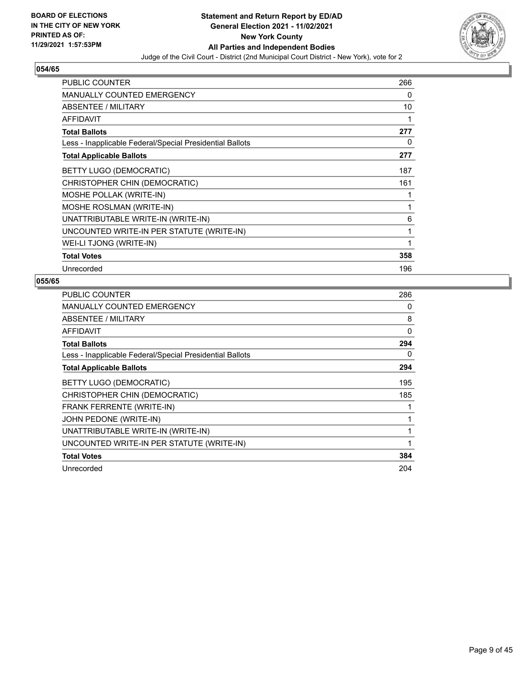

| <b>PUBLIC COUNTER</b>                                    | 266 |
|----------------------------------------------------------|-----|
| <b>MANUALLY COUNTED EMERGENCY</b>                        | 0   |
| ABSENTEE / MILITARY                                      | 10  |
| <b>AFFIDAVIT</b>                                         | 1   |
| <b>Total Ballots</b>                                     | 277 |
| Less - Inapplicable Federal/Special Presidential Ballots | 0   |
| <b>Total Applicable Ballots</b>                          | 277 |
| BETTY LUGO (DEMOCRATIC)                                  | 187 |
| CHRISTOPHER CHIN (DEMOCRATIC)                            | 161 |
| <b>MOSHE POLLAK (WRITE-IN)</b>                           | 1   |
| MOSHE ROSLMAN (WRITE-IN)                                 | 1   |
| UNATTRIBUTABLE WRITE-IN (WRITE-IN)                       | 6   |
| UNCOUNTED WRITE-IN PER STATUTE (WRITE-IN)                | 1   |
| WEI-LI TJONG (WRITE-IN)                                  | 1   |
| <b>Total Votes</b>                                       | 358 |
| Unrecorded                                               | 196 |

| <b>PUBLIC COUNTER</b>                                    | 286      |
|----------------------------------------------------------|----------|
| <b>MANUALLY COUNTED EMERGENCY</b>                        | 0        |
| ABSENTEE / MILITARY                                      | 8        |
| AFFIDAVIT                                                | $\Omega$ |
| <b>Total Ballots</b>                                     | 294      |
| Less - Inapplicable Federal/Special Presidential Ballots | 0        |
| <b>Total Applicable Ballots</b>                          | 294      |
| BETTY LUGO (DEMOCRATIC)                                  | 195      |
| CHRISTOPHER CHIN (DEMOCRATIC)                            | 185      |
| FRANK FERRENTE (WRITE-IN)                                |          |
| JOHN PEDONE (WRITE-IN)                                   |          |
| UNATTRIBUTABLE WRITE-IN (WRITE-IN)                       |          |
| UNCOUNTED WRITE-IN PER STATUTE (WRITE-IN)                |          |
| <b>Total Votes</b>                                       | 384      |
| Unrecorded                                               | 204      |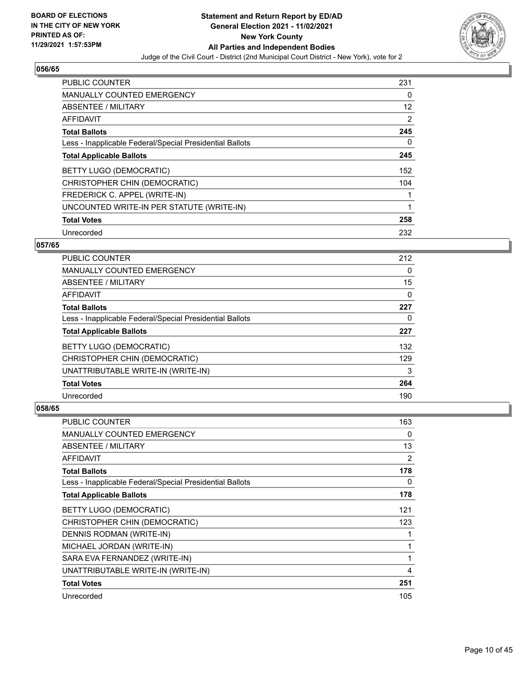

| <b>PUBLIC COUNTER</b>                                    | 231 |
|----------------------------------------------------------|-----|
| <b>MANUALLY COUNTED EMERGENCY</b>                        | 0   |
| ABSENTEE / MILITARY                                      | 12  |
| <b>AFFIDAVIT</b>                                         | 2   |
| <b>Total Ballots</b>                                     | 245 |
| Less - Inapplicable Federal/Special Presidential Ballots | 0   |
| <b>Total Applicable Ballots</b>                          | 245 |
| BETTY LUGO (DEMOCRATIC)                                  | 152 |
| CHRISTOPHER CHIN (DEMOCRATIC)                            | 104 |
| FREDERICK C. APPEL (WRITE-IN)                            |     |
| UNCOUNTED WRITE-IN PER STATUTE (WRITE-IN)                | 1   |
| <b>Total Votes</b>                                       | 258 |
| Unrecorded                                               | 232 |

## **057/65**

| <b>PUBLIC COUNTER</b>                                    | 212      |
|----------------------------------------------------------|----------|
| <b>MANUALLY COUNTED EMERGENCY</b>                        | $\Omega$ |
| ABSENTEE / MILITARY                                      | 15       |
| <b>AFFIDAVIT</b>                                         | $\Omega$ |
| <b>Total Ballots</b>                                     | 227      |
| Less - Inapplicable Federal/Special Presidential Ballots | 0        |
| <b>Total Applicable Ballots</b>                          | 227      |
| BETTY LUGO (DEMOCRATIC)                                  | 132      |
| CHRISTOPHER CHIN (DEMOCRATIC)                            | 129      |
| UNATTRIBUTABLE WRITE-IN (WRITE-IN)                       | 3        |
| <b>Total Votes</b>                                       | 264      |
| Unrecorded                                               | 190      |

| <b>PUBLIC COUNTER</b>                                    | 163          |
|----------------------------------------------------------|--------------|
| <b>MANUALLY COUNTED EMERGENCY</b>                        | 0            |
| ABSENTEE / MILITARY                                      | 13           |
| AFFIDAVIT                                                | 2            |
| <b>Total Ballots</b>                                     | 178          |
| Less - Inapplicable Federal/Special Presidential Ballots | 0            |
| <b>Total Applicable Ballots</b>                          | 178          |
| BETTY LUGO (DEMOCRATIC)                                  | 121          |
| CHRISTOPHER CHIN (DEMOCRATIC)                            | 123          |
| DENNIS RODMAN (WRITE-IN)                                 | 1            |
| MICHAEL JORDAN (WRITE-IN)                                | $\mathbf{1}$ |
| SARA EVA FERNANDEZ (WRITE-IN)                            | $\mathbf{1}$ |
| UNATTRIBUTABLE WRITE-IN (WRITE-IN)                       | 4            |
| <b>Total Votes</b>                                       | 251          |
| Unrecorded                                               | 105          |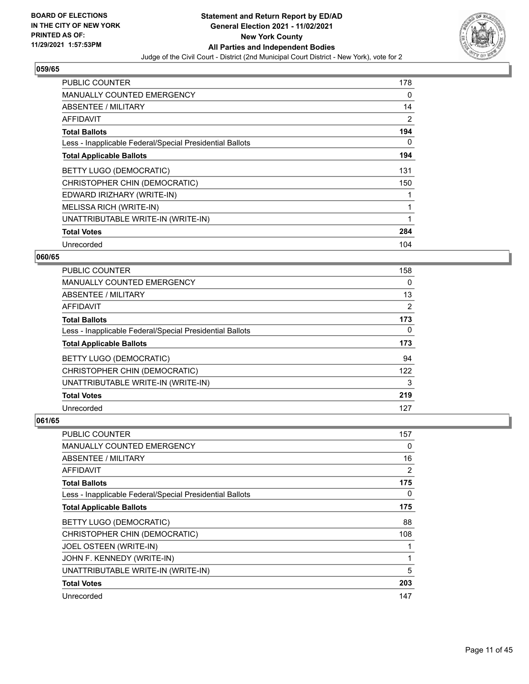

| PUBLIC COUNTER                                           | 178 |
|----------------------------------------------------------|-----|
| <b>MANUALLY COUNTED EMERGENCY</b>                        | 0   |
| ABSENTEE / MILITARY                                      | 14  |
| <b>AFFIDAVIT</b>                                         | 2   |
| <b>Total Ballots</b>                                     | 194 |
| Less - Inapplicable Federal/Special Presidential Ballots | 0   |
| <b>Total Applicable Ballots</b>                          | 194 |
| BETTY LUGO (DEMOCRATIC)                                  | 131 |
| CHRISTOPHER CHIN (DEMOCRATIC)                            | 150 |
| EDWARD IRIZHARY (WRITE-IN)                               |     |
| MELISSA RICH (WRITE-IN)                                  | 1   |
| UNATTRIBUTABLE WRITE-IN (WRITE-IN)                       | 1   |
| <b>Total Votes</b>                                       | 284 |
| Unrecorded                                               | 104 |

## **060/65**

| <b>PUBLIC COUNTER</b>                                    | 158            |
|----------------------------------------------------------|----------------|
| <b>MANUALLY COUNTED EMERGENCY</b>                        | 0              |
| ABSENTEE / MILITARY                                      | 13             |
| <b>AFFIDAVIT</b>                                         | $\overline{2}$ |
| <b>Total Ballots</b>                                     | 173            |
| Less - Inapplicable Federal/Special Presidential Ballots | $\Omega$       |
| <b>Total Applicable Ballots</b>                          | 173            |
| BETTY LUGO (DEMOCRATIC)                                  | 94             |
| CHRISTOPHER CHIN (DEMOCRATIC)                            | 122            |
| UNATTRIBUTABLE WRITE-IN (WRITE-IN)                       | 3              |
| <b>Total Votes</b>                                       | 219            |
| Unrecorded                                               | 127            |

| PUBLIC COUNTER                                           | 157 |
|----------------------------------------------------------|-----|
| MANUALLY COUNTED EMERGENCY                               | 0   |
| ABSENTEE / MILITARY                                      | 16  |
| AFFIDAVIT                                                | 2   |
| <b>Total Ballots</b>                                     | 175 |
| Less - Inapplicable Federal/Special Presidential Ballots | 0   |
| <b>Total Applicable Ballots</b>                          | 175 |
| BETTY LUGO (DEMOCRATIC)                                  | 88  |
| CHRISTOPHER CHIN (DEMOCRATIC)                            | 108 |
| JOEL OSTEEN (WRITE-IN)                                   |     |
| JOHN F. KENNEDY (WRITE-IN)                               | 1   |
| UNATTRIBUTABLE WRITE-IN (WRITE-IN)                       | 5   |
| <b>Total Votes</b>                                       | 203 |
| Unrecorded                                               | 147 |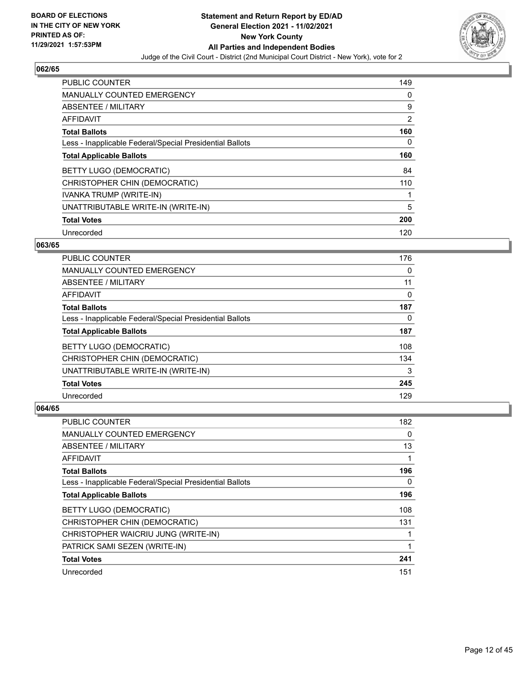

| PUBLIC COUNTER                                           | 149 |
|----------------------------------------------------------|-----|
| <b>MANUALLY COUNTED EMERGENCY</b>                        | 0   |
| ABSENTEE / MILITARY                                      | 9   |
| <b>AFFIDAVIT</b>                                         | 2   |
| <b>Total Ballots</b>                                     | 160 |
| Less - Inapplicable Federal/Special Presidential Ballots | 0   |
| <b>Total Applicable Ballots</b>                          | 160 |
| BETTY LUGO (DEMOCRATIC)                                  | 84  |
| CHRISTOPHER CHIN (DEMOCRATIC)                            | 110 |
| IVANKA TRUMP (WRITE-IN)                                  |     |
| UNATTRIBUTABLE WRITE-IN (WRITE-IN)                       | 5   |
| <b>Total Votes</b>                                       | 200 |
| Unrecorded                                               | 120 |

## **063/65**

| <b>PUBLIC COUNTER</b>                                    | 176      |
|----------------------------------------------------------|----------|
| <b>MANUALLY COUNTED EMERGENCY</b>                        | $\Omega$ |
| ABSENTEE / MILITARY                                      | 11       |
| <b>AFFIDAVIT</b>                                         | $\Omega$ |
| <b>Total Ballots</b>                                     | 187      |
| Less - Inapplicable Federal/Special Presidential Ballots | $\Omega$ |
| <b>Total Applicable Ballots</b>                          | 187      |
| <b>BETTY LUGO (DEMOCRATIC)</b>                           | 108      |
| CHRISTOPHER CHIN (DEMOCRATIC)                            | 134      |
| UNATTRIBUTABLE WRITE-IN (WRITE-IN)                       | 3        |
| <b>Total Votes</b>                                       | 245      |
| Unrecorded                                               | 129      |

| <b>PUBLIC COUNTER</b>                                    | 182 |
|----------------------------------------------------------|-----|
| MANUALLY COUNTED EMERGENCY                               | 0   |
| ABSENTEE / MILITARY                                      | 13  |
| AFFIDAVIT                                                |     |
| <b>Total Ballots</b>                                     | 196 |
| Less - Inapplicable Federal/Special Presidential Ballots | 0   |
| <b>Total Applicable Ballots</b>                          | 196 |
| BETTY LUGO (DEMOCRATIC)                                  | 108 |
| CHRISTOPHER CHIN (DEMOCRATIC)                            | 131 |
| CHRISTOPHER WAICRIU JUNG (WRITE-IN)                      |     |
| PATRICK SAMI SEZEN (WRITE-IN)                            |     |
| <b>Total Votes</b>                                       | 241 |
| Unrecorded                                               | 151 |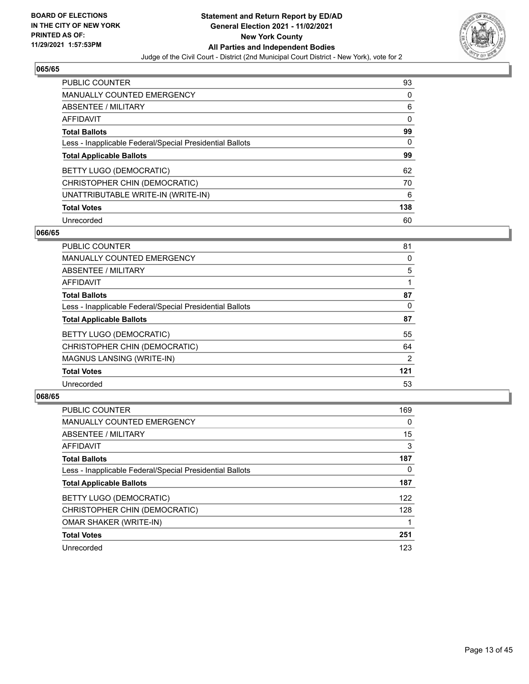

| <b>PUBLIC COUNTER</b>                                    | 93  |
|----------------------------------------------------------|-----|
| <b>MANUALLY COUNTED EMERGENCY</b>                        | 0   |
| ABSENTEE / MILITARY                                      | 6   |
| AFFIDAVIT                                                | 0   |
| <b>Total Ballots</b>                                     | 99  |
| Less - Inapplicable Federal/Special Presidential Ballots | 0   |
| <b>Total Applicable Ballots</b>                          | 99  |
| BETTY LUGO (DEMOCRATIC)                                  | 62  |
| CHRISTOPHER CHIN (DEMOCRATIC)                            | 70  |
| UNATTRIBUTABLE WRITE-IN (WRITE-IN)                       | 6   |
| <b>Total Votes</b>                                       | 138 |
| Unrecorded                                               | 60  |

#### **066/65**

| <b>PUBLIC COUNTER</b>                                    | 81             |
|----------------------------------------------------------|----------------|
| <b>MANUALLY COUNTED EMERGENCY</b>                        | 0              |
| ABSENTEE / MILITARY                                      | 5              |
| <b>AFFIDAVIT</b>                                         |                |
| <b>Total Ballots</b>                                     | 87             |
| Less - Inapplicable Federal/Special Presidential Ballots | 0              |
| <b>Total Applicable Ballots</b>                          | 87             |
| BETTY LUGO (DEMOCRATIC)                                  | 55             |
| CHRISTOPHER CHIN (DEMOCRATIC)                            | 64             |
| MAGNUS LANSING (WRITE-IN)                                | $\overline{2}$ |
| <b>Total Votes</b>                                       | 121            |
| Unrecorded                                               | 53             |

| <b>PUBLIC COUNTER</b>                                    | 169      |
|----------------------------------------------------------|----------|
| MANUALLY COUNTED EMERGENCY                               | $\Omega$ |
| ABSENTEE / MILITARY                                      | 15       |
| AFFIDAVIT                                                | 3        |
| <b>Total Ballots</b>                                     | 187      |
| Less - Inapplicable Federal/Special Presidential Ballots | $\Omega$ |
| <b>Total Applicable Ballots</b>                          | 187      |
| <b>BETTY LUGO (DEMOCRATIC)</b>                           | 122      |
| CHRISTOPHER CHIN (DEMOCRATIC)                            | 128      |
| <b>OMAR SHAKER (WRITE-IN)</b>                            |          |
| <b>Total Votes</b>                                       | 251      |
| Unrecorded                                               | 123      |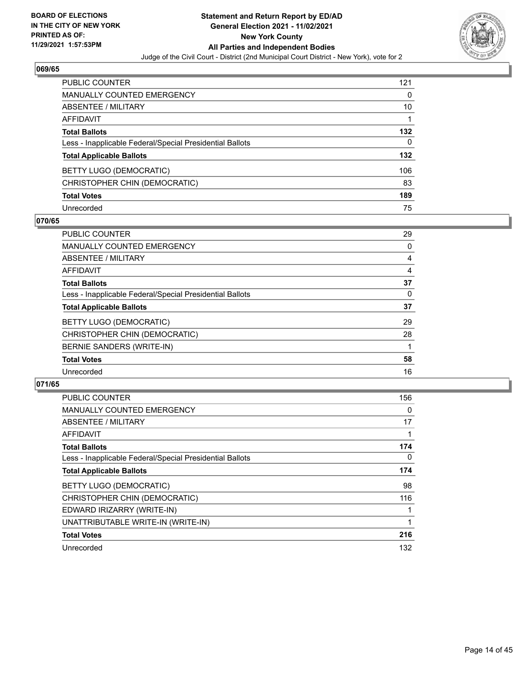

| PUBLIC COUNTER                                           | 121 |
|----------------------------------------------------------|-----|
| <b>MANUALLY COUNTED EMERGENCY</b>                        | 0   |
| ABSENTEE / MILITARY                                      | 10  |
| AFFIDAVIT                                                |     |
| <b>Total Ballots</b>                                     | 132 |
| Less - Inapplicable Federal/Special Presidential Ballots | 0   |
| <b>Total Applicable Ballots</b>                          | 132 |
| BETTY LUGO (DEMOCRATIC)                                  | 106 |
| CHRISTOPHER CHIN (DEMOCRATIC)                            | 83  |
| <b>Total Votes</b>                                       | 189 |
| Unrecorded                                               | 75  |

## **070/65**

| <b>PUBLIC COUNTER</b>                                    | 29 |
|----------------------------------------------------------|----|
| <b>MANUALLY COUNTED EMERGENCY</b>                        | 0  |
| ABSENTEE / MILITARY                                      | 4  |
| <b>AFFIDAVIT</b>                                         | 4  |
| <b>Total Ballots</b>                                     | 37 |
| Less - Inapplicable Federal/Special Presidential Ballots | 0  |
| <b>Total Applicable Ballots</b>                          | 37 |
| BETTY LUGO (DEMOCRATIC)                                  | 29 |
| CHRISTOPHER CHIN (DEMOCRATIC)                            | 28 |
| BERNIE SANDERS (WRITE-IN)                                |    |
| <b>Total Votes</b>                                       | 58 |
| Unrecorded                                               | 16 |

| <b>PUBLIC COUNTER</b>                                    | 156 |
|----------------------------------------------------------|-----|
| <b>MANUALLY COUNTED EMERGENCY</b>                        | 0   |
| ABSENTEE / MILITARY                                      | 17  |
| <b>AFFIDAVIT</b>                                         |     |
| <b>Total Ballots</b>                                     | 174 |
| Less - Inapplicable Federal/Special Presidential Ballots | 0   |
| <b>Total Applicable Ballots</b>                          | 174 |
| BETTY LUGO (DEMOCRATIC)                                  | 98  |
| CHRISTOPHER CHIN (DEMOCRATIC)                            | 116 |
| EDWARD IRIZARRY (WRITE-IN)                               |     |
| UNATTRIBUTABLE WRITE-IN (WRITE-IN)                       |     |
| <b>Total Votes</b>                                       | 216 |
| Unrecorded                                               | 132 |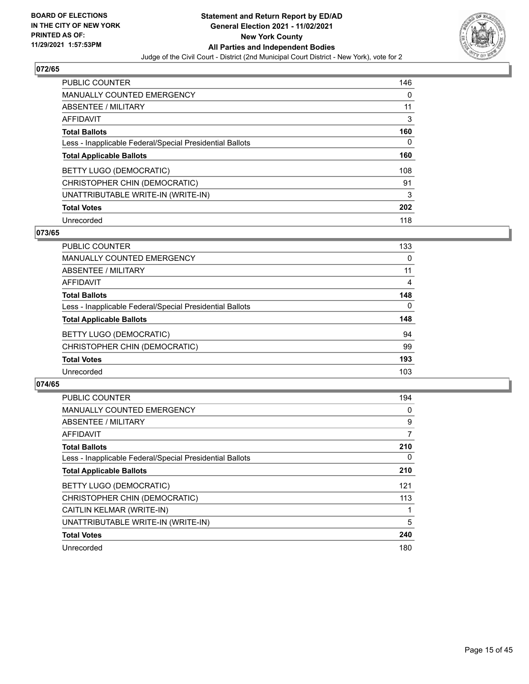

| <b>PUBLIC COUNTER</b>                                    | 146 |
|----------------------------------------------------------|-----|
| <b>MANUALLY COUNTED EMERGENCY</b>                        | 0   |
| ABSENTEE / MILITARY                                      | 11  |
| AFFIDAVIT                                                | 3   |
| <b>Total Ballots</b>                                     | 160 |
| Less - Inapplicable Federal/Special Presidential Ballots | 0   |
| <b>Total Applicable Ballots</b>                          | 160 |
| BETTY LUGO (DEMOCRATIC)                                  | 108 |
| CHRISTOPHER CHIN (DEMOCRATIC)                            | 91  |
| UNATTRIBUTABLE WRITE-IN (WRITE-IN)                       | 3   |
| <b>Total Votes</b>                                       | 202 |
| Unrecorded                                               | 118 |

#### **073/65**

| <b>PUBLIC COUNTER</b>                                    | 133      |
|----------------------------------------------------------|----------|
| <b>MANUALLY COUNTED EMERGENCY</b>                        | $\Omega$ |
| ABSENTEE / MILITARY                                      | 11       |
| <b>AFFIDAVIT</b>                                         | 4        |
| <b>Total Ballots</b>                                     | 148      |
| Less - Inapplicable Federal/Special Presidential Ballots | 0        |
| <b>Total Applicable Ballots</b>                          | 148      |
| BETTY LUGO (DEMOCRATIC)                                  | 94       |
| CHRISTOPHER CHIN (DEMOCRATIC)                            | 99       |
| <b>Total Votes</b>                                       | 193      |
| Unrecorded                                               | 103      |

| <b>PUBLIC COUNTER</b>                                    | 194 |
|----------------------------------------------------------|-----|
| <b>MANUALLY COUNTED EMERGENCY</b>                        | 0   |
| ABSENTEE / MILITARY                                      | 9   |
| AFFIDAVIT                                                | 7   |
| <b>Total Ballots</b>                                     | 210 |
| Less - Inapplicable Federal/Special Presidential Ballots | 0   |
| <b>Total Applicable Ballots</b>                          | 210 |
| BETTY LUGO (DEMOCRATIC)                                  | 121 |
| CHRISTOPHER CHIN (DEMOCRATIC)                            | 113 |
| CAITLIN KELMAR (WRITE-IN)                                |     |
| UNATTRIBUTABLE WRITE-IN (WRITE-IN)                       | 5   |
| <b>Total Votes</b>                                       | 240 |
| Unrecorded                                               | 180 |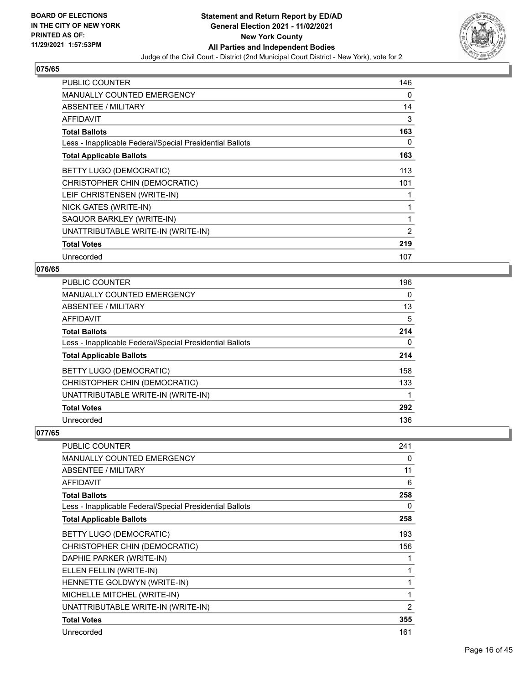

| PUBLIC COUNTER                                           | 146 |
|----------------------------------------------------------|-----|
| <b>MANUALLY COUNTED EMERGENCY</b>                        | 0   |
| <b>ABSENTEE / MILITARY</b>                               | 14  |
| AFFIDAVIT                                                | 3   |
| <b>Total Ballots</b>                                     | 163 |
| Less - Inapplicable Federal/Special Presidential Ballots | 0   |
| <b>Total Applicable Ballots</b>                          | 163 |
| <b>BETTY LUGO (DEMOCRATIC)</b>                           | 113 |
| CHRISTOPHER CHIN (DEMOCRATIC)                            | 101 |
| LEIF CHRISTENSEN (WRITE-IN)                              | 1   |
| NICK GATES (WRITE-IN)                                    | 1   |
| SAQUOR BARKLEY (WRITE-IN)                                | 1   |
| UNATTRIBUTABLE WRITE-IN (WRITE-IN)                       | 2   |
| <b>Total Votes</b>                                       | 219 |
| Unrecorded                                               | 107 |

#### **076/65**

| PUBLIC COUNTER                                           | 196 |
|----------------------------------------------------------|-----|
| <b>MANUALLY COUNTED EMERGENCY</b>                        | 0   |
| ABSENTEE / MILITARY                                      | 13  |
| <b>AFFIDAVIT</b>                                         | 5   |
| <b>Total Ballots</b>                                     | 214 |
| Less - Inapplicable Federal/Special Presidential Ballots | 0   |
| <b>Total Applicable Ballots</b>                          | 214 |
| <b>BETTY LUGO (DEMOCRATIC)</b>                           | 158 |
| CHRISTOPHER CHIN (DEMOCRATIC)                            | 133 |
| UNATTRIBUTABLE WRITE-IN (WRITE-IN)                       |     |
| <b>Total Votes</b>                                       | 292 |
| Unrecorded                                               | 136 |

| PUBLIC COUNTER                                           | 241 |
|----------------------------------------------------------|-----|
| <b>MANUALLY COUNTED EMERGENCY</b>                        | 0   |
| ABSENTEE / MILITARY                                      | 11  |
| <b>AFFIDAVIT</b>                                         | 6   |
| <b>Total Ballots</b>                                     | 258 |
| Less - Inapplicable Federal/Special Presidential Ballots | 0   |
| <b>Total Applicable Ballots</b>                          | 258 |
| BETTY LUGO (DEMOCRATIC)                                  | 193 |
| CHRISTOPHER CHIN (DEMOCRATIC)                            | 156 |
| DAPHIE PARKER (WRITE-IN)                                 |     |
| ELLEN FELLIN (WRITE-IN)                                  |     |
| HENNETTE GOLDWYN (WRITE-IN)                              | 1   |
| MICHELLE MITCHEL (WRITE-IN)                              | 1   |
| UNATTRIBUTABLE WRITE-IN (WRITE-IN)                       | 2   |
| <b>Total Votes</b>                                       | 355 |
| Unrecorded                                               | 161 |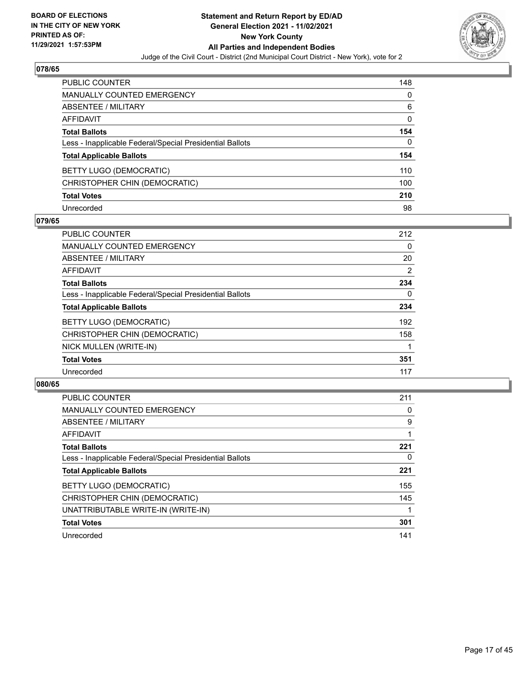

| PUBLIC COUNTER                                           | 148 |
|----------------------------------------------------------|-----|
| <b>MANUALLY COUNTED EMERGENCY</b>                        | 0   |
| ABSENTEE / MILITARY                                      | 6   |
| <b>AFFIDAVIT</b>                                         | 0   |
| <b>Total Ballots</b>                                     | 154 |
| Less - Inapplicable Federal/Special Presidential Ballots | 0   |
| <b>Total Applicable Ballots</b>                          | 154 |
| BETTY LUGO (DEMOCRATIC)                                  | 110 |
| CHRISTOPHER CHIN (DEMOCRATIC)                            | 100 |
| <b>Total Votes</b>                                       | 210 |
| Unrecorded                                               | 98  |

## **079/65**

| PUBLIC COUNTER                                           | 212      |
|----------------------------------------------------------|----------|
| <b>MANUALLY COUNTED EMERGENCY</b>                        | 0        |
| ABSENTEE / MILITARY                                      | 20       |
| <b>AFFIDAVIT</b>                                         | 2        |
| <b>Total Ballots</b>                                     | 234      |
| Less - Inapplicable Federal/Special Presidential Ballots | $\Omega$ |
| <b>Total Applicable Ballots</b>                          | 234      |
| <b>BETTY LUGO (DEMOCRATIC)</b>                           | 192      |
| CHRISTOPHER CHIN (DEMOCRATIC)                            | 158      |
| NICK MULLEN (WRITE-IN)                                   |          |
| <b>Total Votes</b>                                       | 351      |
| Unrecorded                                               | 117      |

| <b>PUBLIC COUNTER</b>                                    | 211 |
|----------------------------------------------------------|-----|
| <b>MANUALLY COUNTED EMERGENCY</b>                        | 0   |
| ABSENTEE / MILITARY                                      | 9   |
| <b>AFFIDAVIT</b>                                         |     |
| <b>Total Ballots</b>                                     | 221 |
| Less - Inapplicable Federal/Special Presidential Ballots | 0   |
| <b>Total Applicable Ballots</b>                          | 221 |
| BETTY LUGO (DEMOCRATIC)                                  | 155 |
| CHRISTOPHER CHIN (DEMOCRATIC)                            | 145 |
| UNATTRIBUTABLE WRITE-IN (WRITE-IN)                       |     |
| <b>Total Votes</b>                                       | 301 |
| Unrecorded                                               | 141 |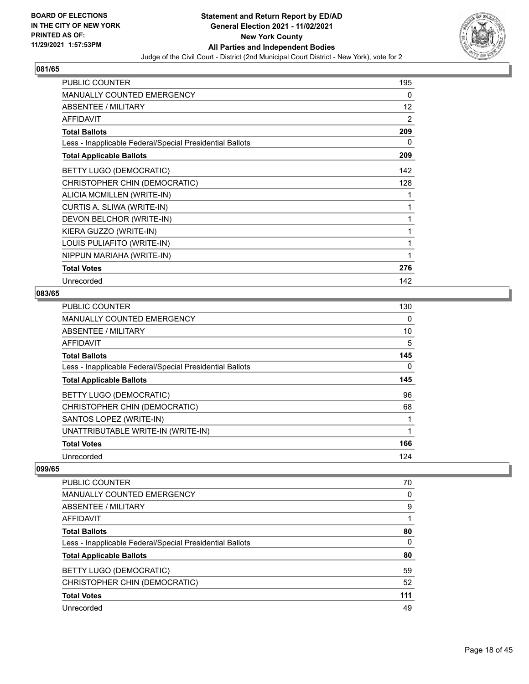

| <b>PUBLIC COUNTER</b>                                    | 195               |
|----------------------------------------------------------|-------------------|
| MANUALLY COUNTED EMERGENCY                               | 0                 |
| <b>ABSENTEE / MILITARY</b>                               | $12 \overline{ }$ |
| <b>AFFIDAVIT</b>                                         | 2                 |
| <b>Total Ballots</b>                                     | 209               |
| Less - Inapplicable Federal/Special Presidential Ballots | 0                 |
| <b>Total Applicable Ballots</b>                          | 209               |
| <b>BETTY LUGO (DEMOCRATIC)</b>                           | 142               |
| CHRISTOPHER CHIN (DEMOCRATIC)                            | 128               |
| ALICIA MCMILLEN (WRITE-IN)                               | 1                 |
| CURTIS A. SLIWA (WRITE-IN)                               | 1                 |
| DEVON BELCHOR (WRITE-IN)                                 | 1                 |
| KIERA GUZZO (WRITE-IN)                                   | 1                 |
| LOUIS PULIAFITO (WRITE-IN)                               | 1                 |
| NIPPUN MARIAHA (WRITE-IN)                                | 1                 |
| <b>Total Votes</b>                                       | 276               |
| Unrecorded                                               | 142               |

## **083/65**

| <b>PUBLIC COUNTER</b>                                    | 130 |
|----------------------------------------------------------|-----|
| <b>MANUALLY COUNTED EMERGENCY</b>                        | 0   |
| ABSENTEE / MILITARY                                      | 10  |
| <b>AFFIDAVIT</b>                                         | 5   |
| <b>Total Ballots</b>                                     | 145 |
| Less - Inapplicable Federal/Special Presidential Ballots | 0   |
| <b>Total Applicable Ballots</b>                          | 145 |
| BETTY LUGO (DEMOCRATIC)                                  | 96  |
| CHRISTOPHER CHIN (DEMOCRATIC)                            | 68  |
| SANTOS LOPEZ (WRITE-IN)                                  | 1   |
| UNATTRIBUTABLE WRITE-IN (WRITE-IN)                       | 1   |
| <b>Total Votes</b>                                       | 166 |
| Unrecorded                                               | 124 |

| PUBLIC COUNTER                                           | 70       |
|----------------------------------------------------------|----------|
| <b>MANUALLY COUNTED EMERGENCY</b>                        | $\Omega$ |
| ABSENTEE / MILITARY                                      | 9        |
| AFFIDAVIT                                                |          |
| <b>Total Ballots</b>                                     | 80       |
| Less - Inapplicable Federal/Special Presidential Ballots | 0        |
| <b>Total Applicable Ballots</b>                          | 80       |
| BETTY LUGO (DEMOCRATIC)                                  | 59       |
| CHRISTOPHER CHIN (DEMOCRATIC)                            | 52       |
| <b>Total Votes</b>                                       | 111      |
| Unrecorded                                               | 49       |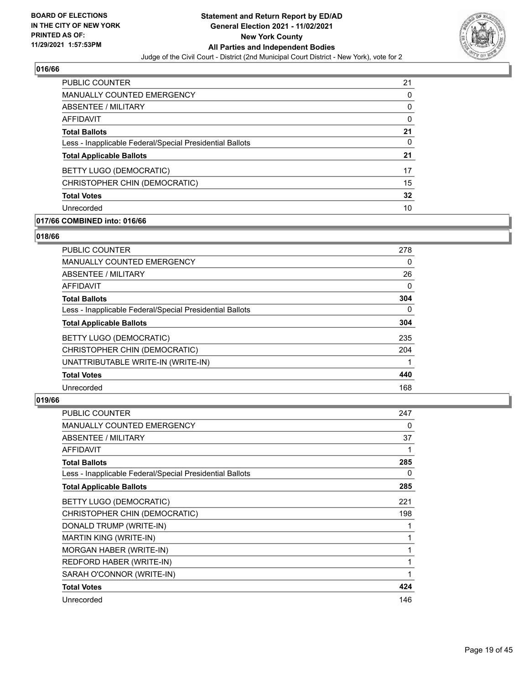

| <b>PUBLIC COUNTER</b>                                    | 21 |
|----------------------------------------------------------|----|
| <b>MANUALLY COUNTED EMERGENCY</b>                        | 0  |
| ABSENTEE / MILITARY                                      | 0  |
| AFFIDAVIT                                                | 0  |
| <b>Total Ballots</b>                                     | 21 |
| Less - Inapplicable Federal/Special Presidential Ballots | 0  |
| <b>Total Applicable Ballots</b>                          | 21 |
| BETTY LUGO (DEMOCRATIC)                                  | 17 |
| CHRISTOPHER CHIN (DEMOCRATIC)                            | 15 |
| <b>Total Votes</b>                                       | 32 |
| Unrecorded                                               | 10 |

## **017/66 COMBINED into: 016/66**

#### **018/66**

| PUBLIC COUNTER                                           | 278      |
|----------------------------------------------------------|----------|
| <b>MANUALLY COUNTED EMERGENCY</b>                        | $\Omega$ |
| ABSENTEE / MILITARY                                      | 26       |
| AFFIDAVIT                                                | $\Omega$ |
| <b>Total Ballots</b>                                     | 304      |
| Less - Inapplicable Federal/Special Presidential Ballots | 0        |
| <b>Total Applicable Ballots</b>                          | 304      |
| BETTY LUGO (DEMOCRATIC)                                  | 235      |
| CHRISTOPHER CHIN (DEMOCRATIC)                            | 204      |
| UNATTRIBUTABLE WRITE-IN (WRITE-IN)                       |          |
| <b>Total Votes</b>                                       | 440      |
| Unrecorded                                               | 168      |
|                                                          |          |

| <b>PUBLIC COUNTER</b>                                    | 247 |
|----------------------------------------------------------|-----|
| <b>MANUALLY COUNTED EMERGENCY</b>                        | 0   |
| ABSENTEE / MILITARY                                      | 37  |
| <b>AFFIDAVIT</b>                                         | 1   |
| <b>Total Ballots</b>                                     | 285 |
| Less - Inapplicable Federal/Special Presidential Ballots | 0   |
| <b>Total Applicable Ballots</b>                          | 285 |
| BETTY LUGO (DEMOCRATIC)                                  | 221 |
| CHRISTOPHER CHIN (DEMOCRATIC)                            | 198 |
| DONALD TRUMP (WRITE-IN)                                  | 1   |
| <b>MARTIN KING (WRITE-IN)</b>                            | 1   |
| MORGAN HABER (WRITE-IN)                                  | 1   |
| REDFORD HABER (WRITE-IN)                                 | 1   |
| SARAH O'CONNOR (WRITE-IN)                                | 1   |
| <b>Total Votes</b>                                       | 424 |
| Unrecorded                                               | 146 |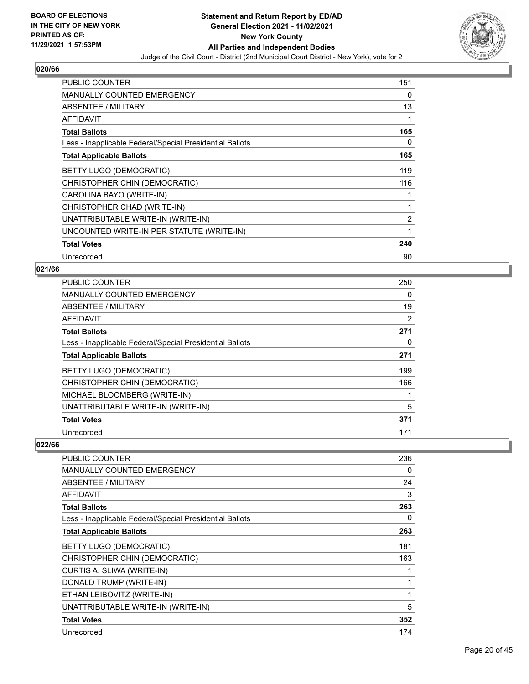

| <b>PUBLIC COUNTER</b>                                    | 151            |
|----------------------------------------------------------|----------------|
| <b>MANUALLY COUNTED EMERGENCY</b>                        | 0              |
| <b>ABSENTEE / MILITARY</b>                               | 13             |
| AFFIDAVIT                                                |                |
| <b>Total Ballots</b>                                     | 165            |
| Less - Inapplicable Federal/Special Presidential Ballots | 0              |
| <b>Total Applicable Ballots</b>                          | 165            |
| <b>BETTY LUGO (DEMOCRATIC)</b>                           | 119            |
| CHRISTOPHER CHIN (DEMOCRATIC)                            | 116            |
| CAROLINA BAYO (WRITE-IN)                                 |                |
| CHRISTOPHER CHAD (WRITE-IN)                              |                |
| UNATTRIBUTABLE WRITE-IN (WRITE-IN)                       | $\overline{2}$ |
| UNCOUNTED WRITE-IN PER STATUTE (WRITE-IN)                | 1              |
| <b>Total Votes</b>                                       | 240            |
| Unrecorded                                               | 90             |

## **021/66**

| PUBLIC COUNTER                                           | 250 |
|----------------------------------------------------------|-----|
| MANUALLY COUNTED EMERGENCY                               | 0   |
| ABSENTEE / MILITARY                                      | 19  |
| <b>AFFIDAVIT</b>                                         | 2   |
| <b>Total Ballots</b>                                     | 271 |
| Less - Inapplicable Federal/Special Presidential Ballots | 0   |
| <b>Total Applicable Ballots</b>                          | 271 |
| BETTY LUGO (DEMOCRATIC)                                  | 199 |
| CHRISTOPHER CHIN (DEMOCRATIC)                            | 166 |
| MICHAEL BLOOMBERG (WRITE-IN)                             |     |
| UNATTRIBUTABLE WRITE-IN (WRITE-IN)                       | 5   |
| <b>Total Votes</b>                                       | 371 |
| Unrecorded                                               | 171 |

| PUBLIC COUNTER                                           | 236 |
|----------------------------------------------------------|-----|
| MANUALLY COUNTED EMERGENCY                               | 0   |
| <b>ABSENTEE / MILITARY</b>                               | 24  |
| AFFIDAVIT                                                | 3   |
| <b>Total Ballots</b>                                     | 263 |
| Less - Inapplicable Federal/Special Presidential Ballots | 0   |
| <b>Total Applicable Ballots</b>                          | 263 |
| BETTY LUGO (DEMOCRATIC)                                  | 181 |
| CHRISTOPHER CHIN (DEMOCRATIC)                            | 163 |
| CURTIS A. SLIWA (WRITE-IN)                               |     |
| DONALD TRUMP (WRITE-IN)                                  |     |
| ETHAN LEIBOVITZ (WRITE-IN)                               | 1   |
| UNATTRIBUTABLE WRITE-IN (WRITE-IN)                       | 5   |
| <b>Total Votes</b>                                       | 352 |
| Unrecorded                                               | 174 |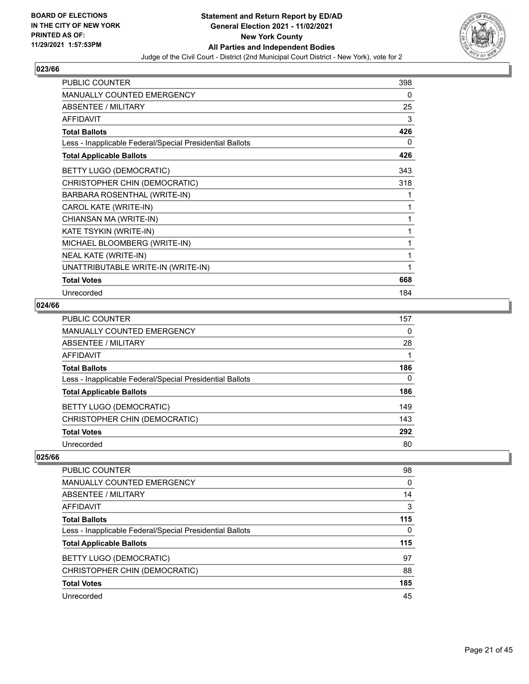

| <b>PUBLIC COUNTER</b>                                    | 398 |
|----------------------------------------------------------|-----|
| <b>MANUALLY COUNTED EMERGENCY</b>                        | 0   |
| ABSENTEE / MILITARY                                      | 25  |
| <b>AFFIDAVIT</b>                                         | 3   |
| <b>Total Ballots</b>                                     | 426 |
| Less - Inapplicable Federal/Special Presidential Ballots | 0   |
| <b>Total Applicable Ballots</b>                          | 426 |
| BETTY LUGO (DEMOCRATIC)                                  | 343 |
| CHRISTOPHER CHIN (DEMOCRATIC)                            | 318 |
| BARBARA ROSENTHAL (WRITE-IN)                             |     |
| CAROL KATE (WRITE-IN)                                    |     |
| CHIANSAN MA (WRITE-IN)                                   |     |
| KATE TSYKIN (WRITE-IN)                                   | 1   |
| MICHAEL BLOOMBERG (WRITE-IN)                             | 1   |
| NEAL KATE (WRITE-IN)                                     | 1   |
| UNATTRIBUTABLE WRITE-IN (WRITE-IN)                       |     |
| <b>Total Votes</b>                                       | 668 |
| Unrecorded                                               | 184 |

## **024/66**

| PUBLIC COUNTER                                           | 157      |
|----------------------------------------------------------|----------|
| <b>MANUALLY COUNTED EMERGENCY</b>                        | 0        |
| ABSENTEE / MILITARY                                      | 28       |
| <b>AFFIDAVIT</b>                                         |          |
| <b>Total Ballots</b>                                     | 186      |
| Less - Inapplicable Federal/Special Presidential Ballots | $\Omega$ |
| <b>Total Applicable Ballots</b>                          | 186      |
| BETTY LUGO (DEMOCRATIC)                                  | 149      |
| CHRISTOPHER CHIN (DEMOCRATIC)                            | 143      |
| <b>Total Votes</b>                                       | 292      |
| Unrecorded                                               | 80       |

| PUBLIC COUNTER                                           | 98  |
|----------------------------------------------------------|-----|
| <b>MANUALLY COUNTED EMERGENCY</b>                        | 0   |
| ABSENTEE / MILITARY                                      | 14  |
| AFFIDAVIT                                                | 3   |
| <b>Total Ballots</b>                                     | 115 |
| Less - Inapplicable Federal/Special Presidential Ballots | 0   |
| <b>Total Applicable Ballots</b>                          | 115 |
| BETTY LUGO (DEMOCRATIC)                                  | 97  |
| CHRISTOPHER CHIN (DEMOCRATIC)                            | 88  |
| <b>Total Votes</b>                                       | 185 |
| Unrecorded                                               | 45  |
|                                                          |     |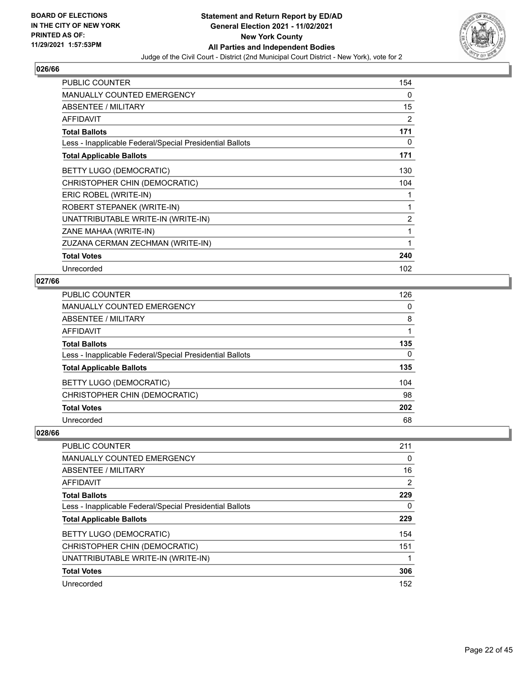

| PUBLIC COUNTER                                           | 154 |
|----------------------------------------------------------|-----|
| <b>MANUALLY COUNTED EMERGENCY</b>                        | 0   |
| ABSENTEE / MILITARY                                      | 15  |
| <b>AFFIDAVIT</b>                                         | 2   |
| <b>Total Ballots</b>                                     | 171 |
| Less - Inapplicable Federal/Special Presidential Ballots | 0   |
| <b>Total Applicable Ballots</b>                          | 171 |
| BETTY LUGO (DEMOCRATIC)                                  | 130 |
| CHRISTOPHER CHIN (DEMOCRATIC)                            | 104 |
| ERIC ROBEL (WRITE-IN)                                    | 1   |
| ROBERT STEPANEK (WRITE-IN)                               | 1   |
| UNATTRIBUTABLE WRITE-IN (WRITE-IN)                       | 2   |
| ZANE MAHAA (WRITE-IN)                                    | 1   |
| ZUZANA CERMAN ZECHMAN (WRITE-IN)                         | 1   |
| <b>Total Votes</b>                                       | 240 |
| Unrecorded                                               | 102 |

## **027/66**

| PUBLIC COUNTER                                           | 126 |
|----------------------------------------------------------|-----|
| MANUALLY COUNTED EMERGENCY                               | 0   |
| ABSENTEE / MILITARY                                      | 8   |
| AFFIDAVIT                                                |     |
| <b>Total Ballots</b>                                     | 135 |
| Less - Inapplicable Federal/Special Presidential Ballots | 0   |
| <b>Total Applicable Ballots</b>                          | 135 |
| BETTY LUGO (DEMOCRATIC)                                  | 104 |
| CHRISTOPHER CHIN (DEMOCRATIC)                            | 98  |
| <b>Total Votes</b>                                       | 202 |
| Unrecorded                                               | 68  |

| PUBLIC COUNTER                                           | 211 |
|----------------------------------------------------------|-----|
| <b>MANUALLY COUNTED EMERGENCY</b>                        | 0   |
| ABSENTEE / MILITARY                                      | 16  |
| <b>AFFIDAVIT</b>                                         | 2   |
| <b>Total Ballots</b>                                     | 229 |
| Less - Inapplicable Federal/Special Presidential Ballots | 0   |
| <b>Total Applicable Ballots</b>                          | 229 |
| <b>BETTY LUGO (DEMOCRATIC)</b>                           | 154 |
| CHRISTOPHER CHIN (DEMOCRATIC)                            | 151 |
| UNATTRIBUTABLE WRITE-IN (WRITE-IN)                       |     |
| <b>Total Votes</b>                                       | 306 |
| Unrecorded                                               | 152 |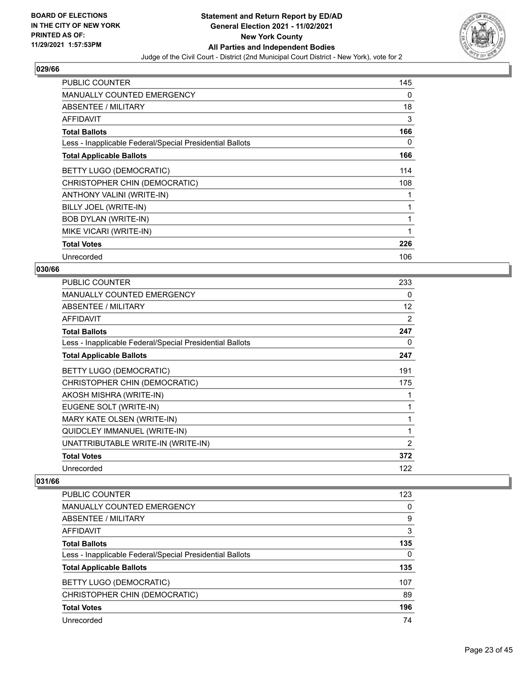

| <b>PUBLIC COUNTER</b>                                    | 145      |
|----------------------------------------------------------|----------|
| MANUALLY COUNTED EMERGENCY                               | 0        |
| ABSENTEE / MILITARY                                      | 18       |
| AFFIDAVIT                                                | 3        |
| <b>Total Ballots</b>                                     | 166      |
| Less - Inapplicable Federal/Special Presidential Ballots | $\Omega$ |
| <b>Total Applicable Ballots</b>                          | 166      |
| BETTY LUGO (DEMOCRATIC)                                  | 114      |
| CHRISTOPHER CHIN (DEMOCRATIC)                            | 108      |
| ANTHONY VALINI (WRITE-IN)                                |          |
| BILLY JOEL (WRITE-IN)                                    |          |
| <b>BOB DYLAN (WRITE-IN)</b>                              |          |
| MIKE VICARI (WRITE-IN)                                   |          |
| <b>Total Votes</b>                                       | 226      |
| Unrecorded                                               | 106      |

#### **030/66**

| PUBLIC COUNTER                                           | 233            |
|----------------------------------------------------------|----------------|
| MANUALLY COUNTED EMERGENCY                               | 0              |
| ABSENTEE / MILITARY                                      | 12             |
| <b>AFFIDAVIT</b>                                         | 2              |
| <b>Total Ballots</b>                                     | 247            |
| Less - Inapplicable Federal/Special Presidential Ballots | 0              |
| <b>Total Applicable Ballots</b>                          | 247            |
| BETTY LUGO (DEMOCRATIC)                                  | 191            |
| CHRISTOPHER CHIN (DEMOCRATIC)                            | 175            |
| AKOSH MISHRA (WRITE-IN)                                  | 1              |
| EUGENE SOLT (WRITE-IN)                                   | 1              |
| MARY KATE OLSEN (WRITE-IN)                               | 1              |
| QUIDCLEY IMMANUEL (WRITE-IN)                             | 1              |
| UNATTRIBUTABLE WRITE-IN (WRITE-IN)                       | $\overline{2}$ |
| <b>Total Votes</b>                                       | 372            |
| Unrecorded                                               | 122            |
|                                                          |                |

| PUBLIC COUNTER                                           | 123      |
|----------------------------------------------------------|----------|
| MANUALLY COUNTED EMERGENCY                               | 0        |
| ABSENTEE / MILITARY                                      | 9        |
| AFFIDAVIT                                                | 3        |
| <b>Total Ballots</b>                                     | 135      |
| Less - Inapplicable Federal/Special Presidential Ballots | $\Omega$ |
| <b>Total Applicable Ballots</b>                          | 135      |
| BETTY LUGO (DEMOCRATIC)                                  | 107      |
| CHRISTOPHER CHIN (DEMOCRATIC)                            | 89       |
|                                                          |          |
| <b>Total Votes</b>                                       | 196      |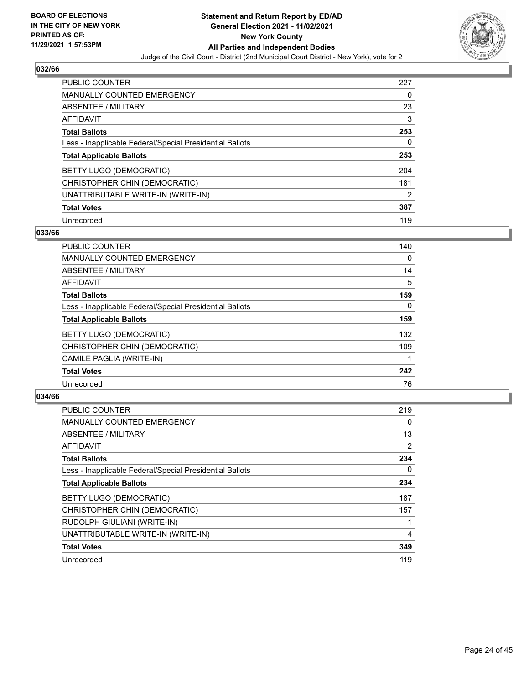

| <b>PUBLIC COUNTER</b>                                    | 227 |
|----------------------------------------------------------|-----|
| MANUALLY COUNTED EMERGENCY                               | 0   |
| ABSENTEE / MILITARY                                      | 23  |
| AFFIDAVIT                                                | 3   |
| <b>Total Ballots</b>                                     | 253 |
| Less - Inapplicable Federal/Special Presidential Ballots | 0   |
| <b>Total Applicable Ballots</b>                          | 253 |
|                                                          |     |
| BETTY LUGO (DEMOCRATIC)                                  | 204 |
| CHRISTOPHER CHIN (DEMOCRATIC)                            | 181 |
| UNATTRIBUTABLE WRITE-IN (WRITE-IN)                       | 2   |
| <b>Total Votes</b>                                       | 387 |

## **033/66**

| <b>PUBLIC COUNTER</b>                                    | 140      |
|----------------------------------------------------------|----------|
| MANUALLY COUNTED EMERGENCY                               | $\Omega$ |
| ABSENTEE / MILITARY                                      | 14       |
| <b>AFFIDAVIT</b>                                         | 5        |
| <b>Total Ballots</b>                                     | 159      |
| Less - Inapplicable Federal/Special Presidential Ballots | $\Omega$ |
| <b>Total Applicable Ballots</b>                          | 159      |
| BETTY LUGO (DEMOCRATIC)                                  | 132      |
| CHRISTOPHER CHIN (DEMOCRATIC)                            | 109      |
| CAMILE PAGLIA (WRITE-IN)                                 |          |
| <b>Total Votes</b>                                       | 242      |
| Unrecorded                                               | 76       |

| <b>PUBLIC COUNTER</b>                                    | 219 |
|----------------------------------------------------------|-----|
| <b>MANUALLY COUNTED EMERGENCY</b>                        | 0   |
| ABSENTEE / MILITARY                                      | 13  |
| AFFIDAVIT                                                | 2   |
| <b>Total Ballots</b>                                     | 234 |
| Less - Inapplicable Federal/Special Presidential Ballots | 0   |
| <b>Total Applicable Ballots</b>                          | 234 |
| BETTY LUGO (DEMOCRATIC)                                  | 187 |
| CHRISTOPHER CHIN (DEMOCRATIC)                            | 157 |
| RUDOLPH GIULIANI (WRITE-IN)                              |     |
| UNATTRIBUTABLE WRITE-IN (WRITE-IN)                       | 4   |
| <b>Total Votes</b>                                       | 349 |
| Unrecorded                                               | 119 |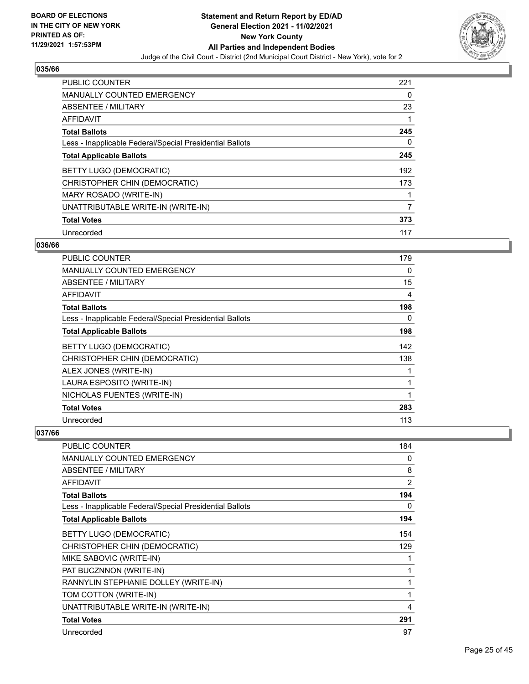

| PUBLIC COUNTER                                           | 221 |
|----------------------------------------------------------|-----|
| <b>MANUALLY COUNTED EMERGENCY</b>                        | 0   |
| ABSENTEE / MILITARY                                      | 23  |
| <b>AFFIDAVIT</b>                                         |     |
| <b>Total Ballots</b>                                     | 245 |
| Less - Inapplicable Federal/Special Presidential Ballots | 0   |
| <b>Total Applicable Ballots</b>                          | 245 |
| BETTY LUGO (DEMOCRATIC)                                  | 192 |
| CHRISTOPHER CHIN (DEMOCRATIC)                            | 173 |
| MARY ROSADO (WRITE-IN)                                   |     |
| UNATTRIBUTABLE WRITE-IN (WRITE-IN)                       | 7   |
| <b>Total Votes</b>                                       | 373 |
| Unrecorded                                               | 117 |

## **036/66**

| <b>PUBLIC COUNTER</b>                                    | 179 |
|----------------------------------------------------------|-----|
| <b>MANUALLY COUNTED EMERGENCY</b>                        | 0   |
| ABSENTEE / MILITARY                                      | 15  |
| <b>AFFIDAVIT</b>                                         | 4   |
| <b>Total Ballots</b>                                     | 198 |
| Less - Inapplicable Federal/Special Presidential Ballots | 0   |
| <b>Total Applicable Ballots</b>                          | 198 |
| BETTY LUGO (DEMOCRATIC)                                  | 142 |
| CHRISTOPHER CHIN (DEMOCRATIC)                            | 138 |
| ALEX JONES (WRITE-IN)                                    |     |
| LAURA ESPOSITO (WRITE-IN)                                | 1   |
| NICHOLAS FUENTES (WRITE-IN)                              |     |
| <b>Total Votes</b>                                       | 283 |
| Unrecorded                                               | 113 |

| <b>PUBLIC COUNTER</b>                                    | 184            |
|----------------------------------------------------------|----------------|
| <b>MANUALLY COUNTED EMERGENCY</b>                        | 0              |
| ABSENTEE / MILITARY                                      | 8              |
| <b>AFFIDAVIT</b>                                         | $\overline{2}$ |
| <b>Total Ballots</b>                                     | 194            |
| Less - Inapplicable Federal/Special Presidential Ballots | 0              |
| <b>Total Applicable Ballots</b>                          | 194            |
| BETTY LUGO (DEMOCRATIC)                                  | 154            |
| CHRISTOPHER CHIN (DEMOCRATIC)                            | 129            |
| MIKE SABOVIC (WRITE-IN)                                  |                |
| PAT BUCZNNON (WRITE-IN)                                  |                |
| RANNYLIN STEPHANIE DOLLEY (WRITE-IN)                     | 1              |
| TOM COTTON (WRITE-IN)                                    | 1              |
| UNATTRIBUTABLE WRITE-IN (WRITE-IN)                       | 4              |
| <b>Total Votes</b>                                       | 291            |
| Unrecorded                                               | 97             |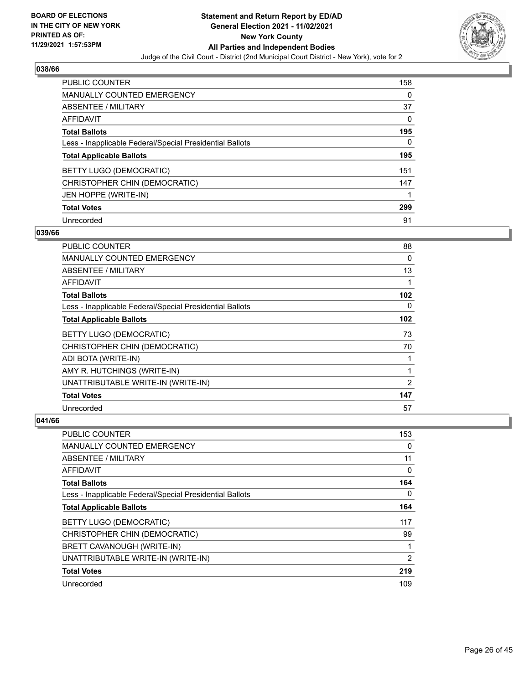

| <b>PUBLIC COUNTER</b>                                    | 158 |
|----------------------------------------------------------|-----|
| <b>MANUALLY COUNTED EMERGENCY</b>                        | 0   |
| ABSENTEE / MILITARY                                      | 37  |
| AFFIDAVIT                                                | 0   |
| <b>Total Ballots</b>                                     | 195 |
| Less - Inapplicable Federal/Special Presidential Ballots | 0   |
| <b>Total Applicable Ballots</b>                          | 195 |
|                                                          |     |
| BETTY LUGO (DEMOCRATIC)                                  | 151 |
| CHRISTOPHER CHIN (DEMOCRATIC)                            | 147 |
| JEN HOPPE (WRITE-IN)                                     |     |
| <b>Total Votes</b>                                       | 299 |

#### **039/66**

| PUBLIC COUNTER                                           | 88       |
|----------------------------------------------------------|----------|
| <b>MANUALLY COUNTED EMERGENCY</b>                        | 0        |
| ABSENTEE / MILITARY                                      | 13       |
| <b>AFFIDAVIT</b>                                         | 1        |
| <b>Total Ballots</b>                                     | 102      |
| Less - Inapplicable Federal/Special Presidential Ballots | $\Omega$ |
| <b>Total Applicable Ballots</b>                          | 102      |
| BETTY LUGO (DEMOCRATIC)                                  | 73       |
| CHRISTOPHER CHIN (DEMOCRATIC)                            | 70       |
| ADI BOTA (WRITE-IN)                                      | 1        |
| AMY R. HUTCHINGS (WRITE-IN)                              | 1        |
| UNATTRIBUTABLE WRITE-IN (WRITE-IN)                       | 2        |
| <b>Total Votes</b>                                       | 147      |
| Unrecorded                                               | 57       |

| PUBLIC COUNTER                                           | 153 |
|----------------------------------------------------------|-----|
| <b>MANUALLY COUNTED EMERGENCY</b>                        | 0   |
| ABSENTEE / MILITARY                                      | 11  |
| AFFIDAVIT                                                | 0   |
| <b>Total Ballots</b>                                     | 164 |
| Less - Inapplicable Federal/Special Presidential Ballots | 0   |
| <b>Total Applicable Ballots</b>                          | 164 |
| BETTY LUGO (DEMOCRATIC)                                  | 117 |
| CHRISTOPHER CHIN (DEMOCRATIC)                            | 99  |
| BRETT CAVANOUGH (WRITE-IN)                               |     |
| UNATTRIBUTABLE WRITE-IN (WRITE-IN)                       | 2   |
| <b>Total Votes</b>                                       | 219 |
| Unrecorded                                               | 109 |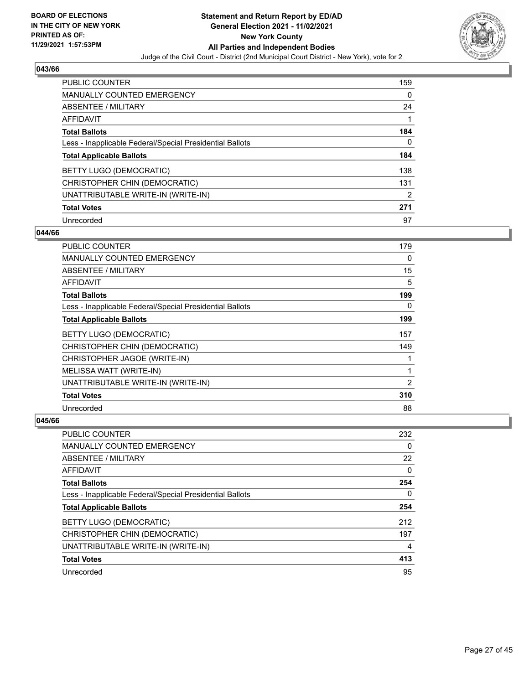

| PUBLIC COUNTER                                           | 159 |
|----------------------------------------------------------|-----|
| <b>MANUALLY COUNTED EMERGENCY</b>                        | 0   |
| ABSENTEE / MILITARY                                      | 24  |
| AFFIDAVIT                                                |     |
| <b>Total Ballots</b>                                     | 184 |
| Less - Inapplicable Federal/Special Presidential Ballots | 0   |
| <b>Total Applicable Ballots</b>                          | 184 |
| BETTY LUGO (DEMOCRATIC)                                  | 138 |
| CHRISTOPHER CHIN (DEMOCRATIC)                            | 131 |
| UNATTRIBUTABLE WRITE-IN (WRITE-IN)                       | 2   |
| <b>Total Votes</b>                                       | 271 |
| Unrecorded                                               | 97  |

#### **044/66**

| <b>PUBLIC COUNTER</b>                                    | 179 |
|----------------------------------------------------------|-----|
| <b>MANUALLY COUNTED EMERGENCY</b>                        | 0   |
| ABSENTEE / MILITARY                                      | 15  |
| AFFIDAVIT                                                | 5   |
| <b>Total Ballots</b>                                     | 199 |
| Less - Inapplicable Federal/Special Presidential Ballots | 0   |
| <b>Total Applicable Ballots</b>                          | 199 |
| BETTY LUGO (DEMOCRATIC)                                  | 157 |
| CHRISTOPHER CHIN (DEMOCRATIC)                            | 149 |
| CHRISTOPHER JAGOE (WRITE-IN)                             |     |
| MELISSA WATT (WRITE-IN)                                  | 1   |
| UNATTRIBUTABLE WRITE-IN (WRITE-IN)                       | 2   |
| <b>Total Votes</b>                                       | 310 |
| Unrecorded                                               | 88  |

| PUBLIC COUNTER                                           | 232 |
|----------------------------------------------------------|-----|
| <b>MANUALLY COUNTED EMERGENCY</b>                        | 0   |
| ABSENTEE / MILITARY                                      | 22  |
| AFFIDAVIT                                                | 0   |
| <b>Total Ballots</b>                                     | 254 |
| Less - Inapplicable Federal/Special Presidential Ballots | 0   |
|                                                          |     |
| <b>Total Applicable Ballots</b>                          | 254 |
| BETTY LUGO (DEMOCRATIC)                                  | 212 |
| CHRISTOPHER CHIN (DEMOCRATIC)                            | 197 |
| UNATTRIBUTABLE WRITE-IN (WRITE-IN)                       | 4   |
| <b>Total Votes</b>                                       | 413 |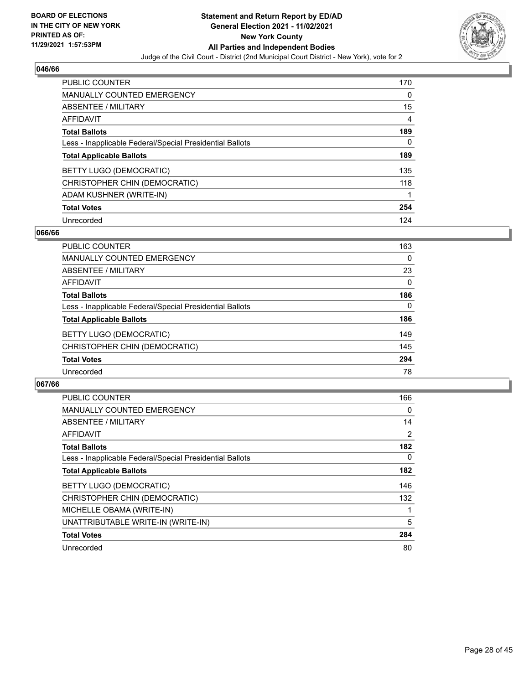

| <b>PUBLIC COUNTER</b>                                    | 170 |
|----------------------------------------------------------|-----|
| <b>MANUALLY COUNTED EMERGENCY</b>                        | 0   |
| ABSENTEE / MILITARY                                      | 15  |
| AFFIDAVIT                                                | 4   |
| <b>Total Ballots</b>                                     | 189 |
| Less - Inapplicable Federal/Special Presidential Ballots | 0   |
| <b>Total Applicable Ballots</b>                          | 189 |
| BETTY LUGO (DEMOCRATIC)                                  | 135 |
| CHRISTOPHER CHIN (DEMOCRATIC)                            | 118 |
| ADAM KUSHNER (WRITE-IN)                                  |     |
| <b>Total Votes</b>                                       | 254 |
| Unrecorded                                               | 124 |

#### **066/66**

| <b>PUBLIC COUNTER</b>                                    | 163      |
|----------------------------------------------------------|----------|
| <b>MANUALLY COUNTED EMERGENCY</b>                        | $\Omega$ |
| ABSENTEE / MILITARY                                      | 23       |
| <b>AFFIDAVIT</b>                                         | $\Omega$ |
| <b>Total Ballots</b>                                     | 186      |
| Less - Inapplicable Federal/Special Presidential Ballots | $\Omega$ |
| <b>Total Applicable Ballots</b>                          | 186      |
| BETTY LUGO (DEMOCRATIC)                                  | 149      |
| CHRISTOPHER CHIN (DEMOCRATIC)                            | 145      |
| <b>Total Votes</b>                                       | 294      |
| Unrecorded                                               | 78       |

| <b>PUBLIC COUNTER</b>                                    | 166 |
|----------------------------------------------------------|-----|
| <b>MANUALLY COUNTED EMERGENCY</b>                        | 0   |
| ABSENTEE / MILITARY                                      | 14  |
| <b>AFFIDAVIT</b>                                         | 2   |
| <b>Total Ballots</b>                                     | 182 |
| Less - Inapplicable Federal/Special Presidential Ballots | 0   |
| <b>Total Applicable Ballots</b>                          | 182 |
| BETTY LUGO (DEMOCRATIC)                                  | 146 |
| CHRISTOPHER CHIN (DEMOCRATIC)                            | 132 |
| MICHELLE OBAMA (WRITE-IN)                                |     |
| UNATTRIBUTABLE WRITE-IN (WRITE-IN)                       | 5   |
| <b>Total Votes</b>                                       | 284 |
| Unrecorded                                               | 80  |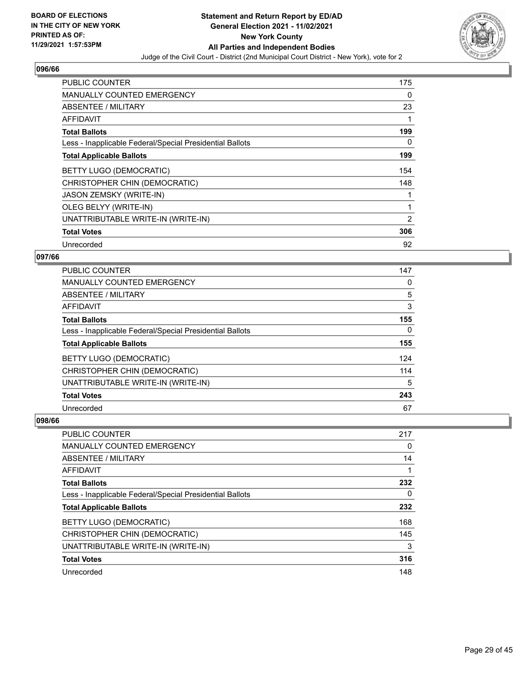

| <b>PUBLIC COUNTER</b>                                    | 175      |
|----------------------------------------------------------|----------|
| <b>MANUALLY COUNTED EMERGENCY</b>                        | $\Omega$ |
| <b>ABSENTEE / MILITARY</b>                               | 23       |
| <b>AFFIDAVIT</b>                                         | 1        |
| <b>Total Ballots</b>                                     | 199      |
| Less - Inapplicable Federal/Special Presidential Ballots | 0        |
| <b>Total Applicable Ballots</b>                          | 199      |
| BETTY LUGO (DEMOCRATIC)                                  | 154      |
| CHRISTOPHER CHIN (DEMOCRATIC)                            | 148      |
| <b>JASON ZEMSKY (WRITE-IN)</b>                           | 1        |
| OLEG BELYY (WRITE-IN)                                    | 1        |
| UNATTRIBUTABLE WRITE-IN (WRITE-IN)                       | 2        |
| <b>Total Votes</b>                                       | 306      |
| Unrecorded                                               | 92       |

## **097/66**

| <b>PUBLIC COUNTER</b>                                    | 147      |
|----------------------------------------------------------|----------|
| <b>MANUALLY COUNTED EMERGENCY</b>                        | 0        |
| ABSENTEE / MILITARY                                      | 5        |
| <b>AFFIDAVIT</b>                                         | 3        |
| <b>Total Ballots</b>                                     | 155      |
| Less - Inapplicable Federal/Special Presidential Ballots | $\Omega$ |
| <b>Total Applicable Ballots</b>                          | 155      |
| <b>BETTY LUGO (DEMOCRATIC)</b>                           | 124      |
| CHRISTOPHER CHIN (DEMOCRATIC)                            | 114      |
| UNATTRIBUTABLE WRITE-IN (WRITE-IN)                       | 5        |
| <b>Total Votes</b>                                       | 243      |
| Unrecorded                                               | 67       |

| <b>PUBLIC COUNTER</b>                                    | 217 |
|----------------------------------------------------------|-----|
| <b>MANUALLY COUNTED EMERGENCY</b>                        | 0   |
| ABSENTEE / MILITARY                                      | 14  |
| AFFIDAVIT                                                |     |
| <b>Total Ballots</b>                                     | 232 |
| Less - Inapplicable Federal/Special Presidential Ballots | 0   |
| <b>Total Applicable Ballots</b>                          | 232 |
| BETTY LUGO (DEMOCRATIC)                                  | 168 |
| CHRISTOPHER CHIN (DEMOCRATIC)                            | 145 |
| UNATTRIBUTABLE WRITE-IN (WRITE-IN)                       | 3   |
| <b>Total Votes</b>                                       | 316 |
| Unrecorded                                               | 148 |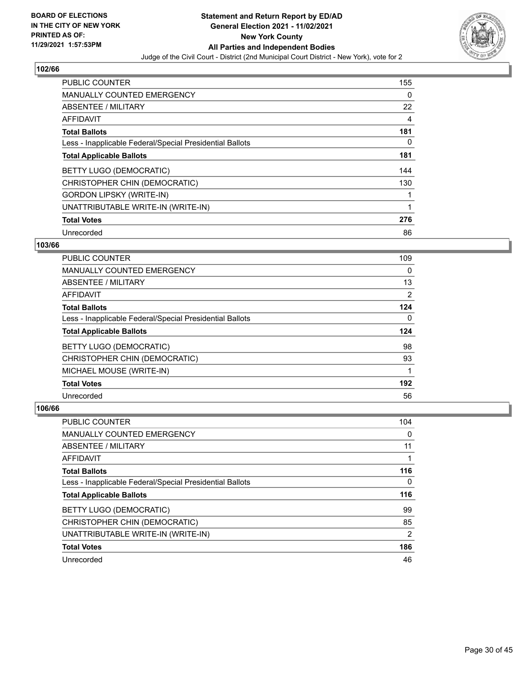

| <b>PUBLIC COUNTER</b>                                    | 155      |
|----------------------------------------------------------|----------|
| MANUALLY COUNTED EMERGENCY                               | 0        |
| ABSENTEE / MILITARY                                      | 22       |
| AFFIDAVIT                                                | 4        |
| <b>Total Ballots</b>                                     | 181      |
| Less - Inapplicable Federal/Special Presidential Ballots | $\Omega$ |
| <b>Total Applicable Ballots</b>                          | 181      |
| BETTY LUGO (DEMOCRATIC)                                  | 144      |
| CHRISTOPHER CHIN (DEMOCRATIC)                            | 130      |
| <b>GORDON LIPSKY (WRITE-IN)</b>                          |          |
| UNATTRIBUTABLE WRITE-IN (WRITE-IN)                       | 1        |
| <b>Total Votes</b>                                       | 276      |
| Unrecorded                                               | 86       |

## **103/66**

| <b>PUBLIC COUNTER</b>                                    | 109 |
|----------------------------------------------------------|-----|
| <b>MANUALLY COUNTED EMERGENCY</b>                        | 0   |
| ABSENTEE / MILITARY                                      | 13  |
| <b>AFFIDAVIT</b>                                         | 2   |
| <b>Total Ballots</b>                                     | 124 |
| Less - Inapplicable Federal/Special Presidential Ballots | 0   |
| <b>Total Applicable Ballots</b>                          | 124 |
| BETTY LUGO (DEMOCRATIC)                                  | 98  |
| CHRISTOPHER CHIN (DEMOCRATIC)                            | 93  |
| MICHAEL MOUSE (WRITE-IN)                                 |     |
| <b>Total Votes</b>                                       | 192 |
| Unrecorded                                               | 56  |

| <b>PUBLIC COUNTER</b>                                    | 104            |
|----------------------------------------------------------|----------------|
| <b>MANUALLY COUNTED EMERGENCY</b>                        | 0              |
| ABSENTEE / MILITARY                                      | 11             |
| AFFIDAVIT                                                |                |
| <b>Total Ballots</b>                                     | 116            |
| Less - Inapplicable Federal/Special Presidential Ballots | 0              |
| <b>Total Applicable Ballots</b>                          | 116            |
|                                                          |                |
| BETTY LUGO (DEMOCRATIC)                                  | 99             |
| CHRISTOPHER CHIN (DEMOCRATIC)                            | 85             |
| UNATTRIBUTABLE WRITE-IN (WRITE-IN)                       | $\overline{2}$ |
| <b>Total Votes</b>                                       | 186            |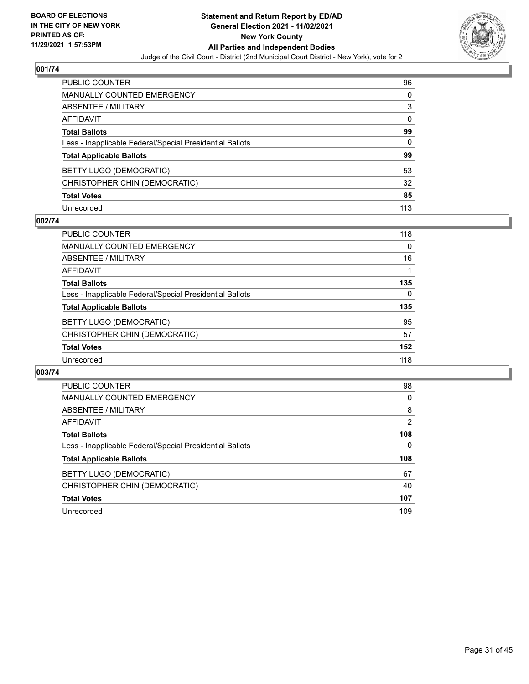

| PUBLIC COUNTER                                           | 96       |
|----------------------------------------------------------|----------|
| <b>MANUALLY COUNTED EMERGENCY</b>                        | 0        |
| <b>ABSENTEE / MILITARY</b>                               | 3        |
| <b>AFFIDAVIT</b>                                         | $\Omega$ |
| <b>Total Ballots</b>                                     | 99       |
| Less - Inapplicable Federal/Special Presidential Ballots | $\Omega$ |
| <b>Total Applicable Ballots</b>                          | 99       |
| <b>BETTY LUGO (DEMOCRATIC)</b>                           | 53       |
| CHRISTOPHER CHIN (DEMOCRATIC)                            | 32       |
| <b>Total Votes</b>                                       | 85       |
| Unrecorded                                               | 113      |

## **002/74**

| <b>PUBLIC COUNTER</b>                                    | 118      |
|----------------------------------------------------------|----------|
| <b>MANUALLY COUNTED EMERGENCY</b>                        | $\Omega$ |
| ABSENTEE / MILITARY                                      | 16       |
| AFFIDAVIT                                                |          |
| <b>Total Ballots</b>                                     | 135      |
| Less - Inapplicable Federal/Special Presidential Ballots | $\Omega$ |
| <b>Total Applicable Ballots</b>                          | 135      |
| BETTY LUGO (DEMOCRATIC)                                  | 95       |
| CHRISTOPHER CHIN (DEMOCRATIC)                            | 57       |
| <b>Total Votes</b>                                       | 152      |
| Unrecorded                                               | 118      |

| PUBLIC COUNTER                                           | 98  |
|----------------------------------------------------------|-----|
| MANUALLY COUNTED EMERGENCY                               | 0   |
| ABSENTEE / MILITARY                                      | 8   |
| AFFIDAVIT                                                | 2   |
| <b>Total Ballots</b>                                     | 108 |
| Less - Inapplicable Federal/Special Presidential Ballots | 0   |
| <b>Total Applicable Ballots</b>                          | 108 |
| BETTY LUGO (DEMOCRATIC)                                  | 67  |
| CHRISTOPHER CHIN (DEMOCRATIC)                            | 40  |
| <b>Total Votes</b>                                       | 107 |
| Unrecorded                                               | 109 |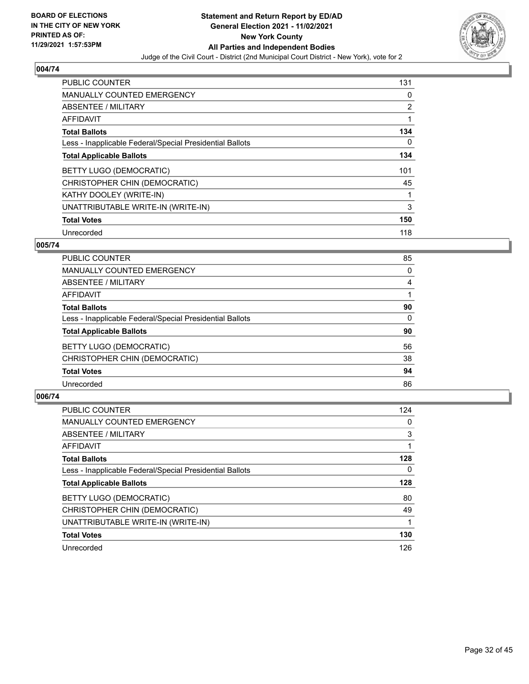

| PUBLIC COUNTER                                           | 131      |
|----------------------------------------------------------|----------|
| <b>MANUALLY COUNTED EMERGENCY</b>                        | 0        |
| ABSENTEE / MILITARY                                      | 2        |
| <b>AFFIDAVIT</b>                                         | 1        |
| <b>Total Ballots</b>                                     | 134      |
| Less - Inapplicable Federal/Special Presidential Ballots | $\Omega$ |
| <b>Total Applicable Ballots</b>                          | 134      |
| BETTY LUGO (DEMOCRATIC)                                  | 101      |
| CHRISTOPHER CHIN (DEMOCRATIC)                            | 45       |
| KATHY DOOLEY (WRITE-IN)                                  | 1        |
| UNATTRIBUTABLE WRITE-IN (WRITE-IN)                       | 3        |
| <b>Total Votes</b>                                       | 150      |
| Unrecorded                                               | 118      |

## **005/74**

| <b>PUBLIC COUNTER</b>                                    | 85 |
|----------------------------------------------------------|----|
| <b>MANUALLY COUNTED EMERGENCY</b>                        | 0  |
| ABSENTEE / MILITARY                                      | 4  |
| AFFIDAVIT                                                |    |
| <b>Total Ballots</b>                                     | 90 |
| Less - Inapplicable Federal/Special Presidential Ballots | 0  |
| <b>Total Applicable Ballots</b>                          | 90 |
| BETTY LUGO (DEMOCRATIC)                                  | 56 |
| CHRISTOPHER CHIN (DEMOCRATIC)                            | 38 |
| <b>Total Votes</b>                                       | 94 |
| Unrecorded                                               | 86 |
|                                                          |    |

| <b>PUBLIC COUNTER</b>                                    | 124      |
|----------------------------------------------------------|----------|
| <b>MANUALLY COUNTED EMERGENCY</b>                        | $\Omega$ |
| ABSENTEE / MILITARY                                      | 3        |
| AFFIDAVIT                                                |          |
| <b>Total Ballots</b>                                     | 128      |
| Less - Inapplicable Federal/Special Presidential Ballots | 0        |
| <b>Total Applicable Ballots</b>                          | 128      |
| BETTY LUGO (DEMOCRATIC)                                  | 80       |
| CHRISTOPHER CHIN (DEMOCRATIC)                            | 49       |
| UNATTRIBUTABLE WRITE-IN (WRITE-IN)                       |          |
| <b>Total Votes</b>                                       | 130      |
| Unrecorded                                               | 126      |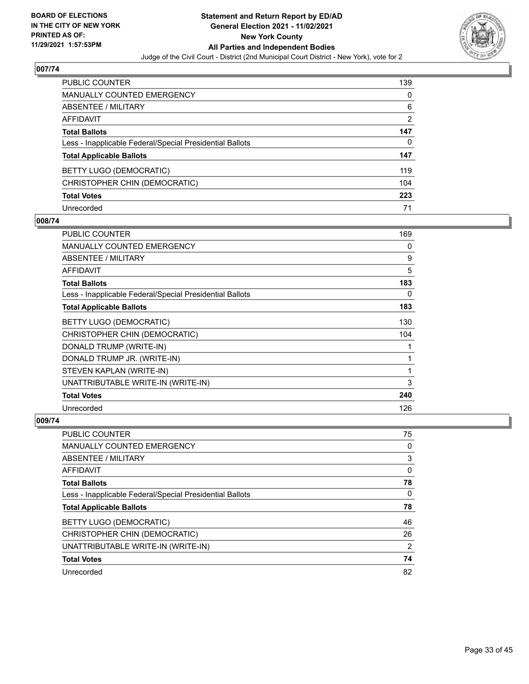

| PUBLIC COUNTER                                           | 139           |
|----------------------------------------------------------|---------------|
| <b>MANUALLY COUNTED EMERGENCY</b>                        | 0             |
| ABSENTEE / MILITARY                                      | 6             |
| <b>AFFIDAVIT</b>                                         | $\mathcal{P}$ |
| <b>Total Ballots</b>                                     | 147           |
| Less - Inapplicable Federal/Special Presidential Ballots | 0             |
| <b>Total Applicable Ballots</b>                          | 147           |
| BETTY LUGO (DEMOCRATIC)                                  | 119           |
| CHRISTOPHER CHIN (DEMOCRATIC)                            | 104           |
| <b>Total Votes</b>                                       | 223           |
| Unrecorded                                               | 71            |

## **008/74**

| <b>PUBLIC COUNTER</b>                                    | 169 |
|----------------------------------------------------------|-----|
| MANUALLY COUNTED EMERGENCY                               | 0   |
| ABSENTEE / MILITARY                                      | 9   |
| AFFIDAVIT                                                | 5   |
| <b>Total Ballots</b>                                     | 183 |
| Less - Inapplicable Federal/Special Presidential Ballots | 0   |
| <b>Total Applicable Ballots</b>                          | 183 |
| BETTY LUGO (DEMOCRATIC)                                  | 130 |
| CHRISTOPHER CHIN (DEMOCRATIC)                            | 104 |
| DONALD TRUMP (WRITE-IN)                                  | 1   |
| DONALD TRUMP JR. (WRITE-IN)                              | 1   |
| STEVEN KAPLAN (WRITE-IN)                                 | 1   |
| UNATTRIBUTABLE WRITE-IN (WRITE-IN)                       | 3   |
| <b>Total Votes</b>                                       | 240 |
| Unrecorded                                               | 126 |

| PUBLIC COUNTER                                           | 75 |
|----------------------------------------------------------|----|
| <b>MANUALLY COUNTED EMERGENCY</b>                        | 0  |
| ABSENTEE / MILITARY                                      | 3  |
| AFFIDAVIT                                                | 0  |
| <b>Total Ballots</b>                                     | 78 |
| Less - Inapplicable Federal/Special Presidential Ballots | 0  |
| <b>Total Applicable Ballots</b>                          | 78 |
| BETTY LUGO (DEMOCRATIC)                                  | 46 |
| CHRISTOPHER CHIN (DEMOCRATIC)                            | 26 |
| UNATTRIBUTABLE WRITE-IN (WRITE-IN)                       | 2  |
| <b>Total Votes</b>                                       | 74 |
| Unrecorded                                               | 82 |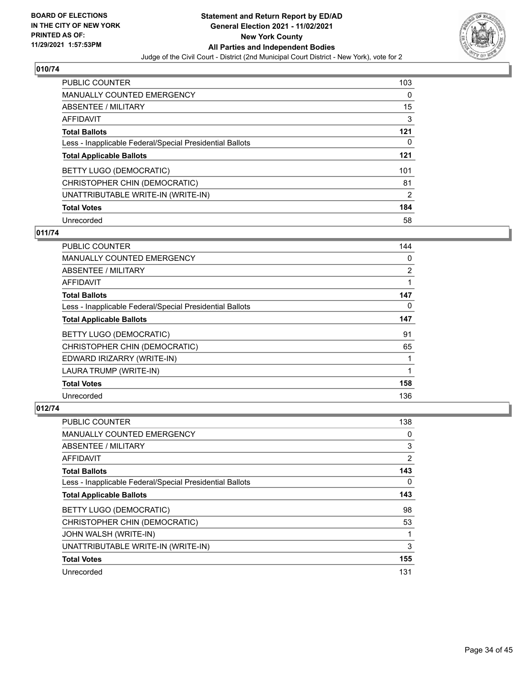

| PUBLIC COUNTER                                           | 103            |
|----------------------------------------------------------|----------------|
| MANUALLY COUNTED EMERGENCY                               | $\Omega$       |
| ABSENTEE / MILITARY                                      | 15             |
| AFFIDAVIT                                                | 3              |
| <b>Total Ballots</b>                                     | 121            |
| Less - Inapplicable Federal/Special Presidential Ballots | 0              |
| <b>Total Applicable Ballots</b>                          | 121            |
| BETTY LUGO (DEMOCRATIC)                                  | 101            |
| CHRISTOPHER CHIN (DEMOCRATIC)                            | 81             |
| UNATTRIBUTABLE WRITE-IN (WRITE-IN)                       | $\overline{2}$ |
| <b>Total Votes</b>                                       | 184            |
| Unrecorded                                               | 58             |

## **011/74**

| PUBLIC COUNTER                                           | 144            |
|----------------------------------------------------------|----------------|
| MANUALLY COUNTED EMERGENCY                               | 0              |
| ABSENTEE / MILITARY                                      | $\overline{2}$ |
| AFFIDAVIT                                                |                |
| <b>Total Ballots</b>                                     | 147            |
| Less - Inapplicable Federal/Special Presidential Ballots | 0              |
| <b>Total Applicable Ballots</b>                          | 147            |
| BETTY LUGO (DEMOCRATIC)                                  | 91             |
| CHRISTOPHER CHIN (DEMOCRATIC)                            | 65             |
| EDWARD IRIZARRY (WRITE-IN)                               |                |
| LAURA TRUMP (WRITE-IN)                                   | 1              |
| <b>Total Votes</b>                                       | 158            |
| Unrecorded                                               | 136            |

| PUBLIC COUNTER                                           | 138 |
|----------------------------------------------------------|-----|
| MANUALLY COUNTED EMERGENCY                               | 0   |
| ABSENTEE / MILITARY                                      | 3   |
| AFFIDAVIT                                                | 2   |
| <b>Total Ballots</b>                                     | 143 |
| Less - Inapplicable Federal/Special Presidential Ballots | 0   |
| <b>Total Applicable Ballots</b>                          | 143 |
| BETTY LUGO (DEMOCRATIC)                                  | 98  |
| CHRISTOPHER CHIN (DEMOCRATIC)                            | 53  |
| JOHN WALSH (WRITE-IN)                                    | 1   |
| UNATTRIBUTABLE WRITE-IN (WRITE-IN)                       | 3   |
| <b>Total Votes</b>                                       | 155 |
| Unrecorded                                               | 131 |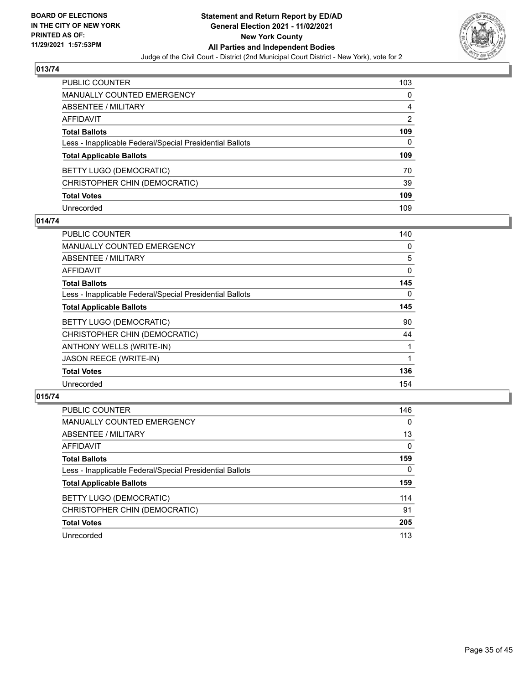

| <b>PUBLIC COUNTER</b>                                    | 103 |
|----------------------------------------------------------|-----|
| <b>MANUALLY COUNTED EMERGENCY</b>                        | 0   |
| <b>ABSENTEE / MILITARY</b>                               | 4   |
| <b>AFFIDAVIT</b>                                         | 2   |
| <b>Total Ballots</b>                                     | 109 |
| Less - Inapplicable Federal/Special Presidential Ballots | 0   |
| <b>Total Applicable Ballots</b>                          | 109 |
| <b>BETTY LUGO (DEMOCRATIC)</b>                           | 70  |
| CHRISTOPHER CHIN (DEMOCRATIC)                            | 39  |
| <b>Total Votes</b>                                       | 109 |
| Unrecorded                                               | 109 |

## **014/74**

| PUBLIC COUNTER                                           | 140 |
|----------------------------------------------------------|-----|
| <b>MANUALLY COUNTED EMERGENCY</b>                        | 0   |
| ABSENTEE / MILITARY                                      | 5   |
| AFFIDAVIT                                                | 0   |
| <b>Total Ballots</b>                                     | 145 |
| Less - Inapplicable Federal/Special Presidential Ballots | 0   |
| <b>Total Applicable Ballots</b>                          | 145 |
| BETTY LUGO (DEMOCRATIC)                                  | 90  |
| CHRISTOPHER CHIN (DEMOCRATIC)                            | 44  |
| ANTHONY WELLS (WRITE-IN)                                 |     |
| <b>JASON REECE (WRITE-IN)</b>                            |     |
| <b>Total Votes</b>                                       | 136 |
| Unrecorded                                               | 154 |

| <b>PUBLIC COUNTER</b>                                    | 146      |
|----------------------------------------------------------|----------|
| <b>MANUALLY COUNTED EMERGENCY</b>                        | $\Omega$ |
| ABSENTEE / MILITARY                                      | 13       |
| AFFIDAVIT                                                | 0        |
| <b>Total Ballots</b>                                     | 159      |
| Less - Inapplicable Federal/Special Presidential Ballots | $\Omega$ |
| <b>Total Applicable Ballots</b>                          | 159      |
| BETTY LUGO (DEMOCRATIC)                                  | 114      |
| CHRISTOPHER CHIN (DEMOCRATIC)                            | 91       |
| <b>Total Votes</b>                                       | 205      |
|                                                          |          |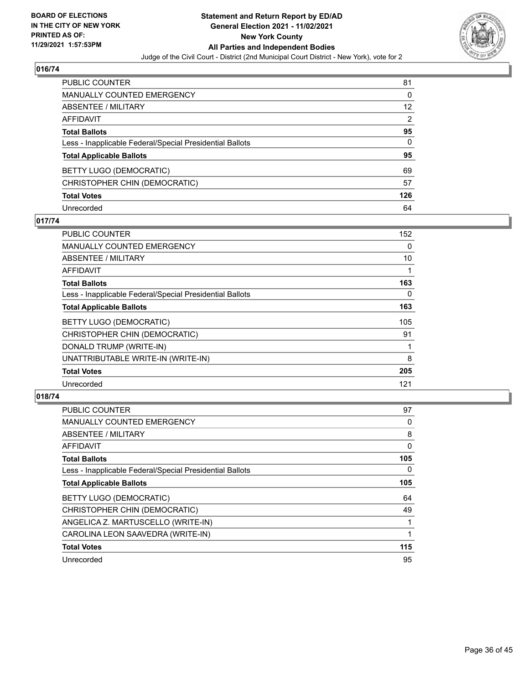

| PUBLIC COUNTER                                           | 81             |
|----------------------------------------------------------|----------------|
| <b>MANUALLY COUNTED EMERGENCY</b>                        | 0              |
| <b>ABSENTEE / MILITARY</b>                               | 12             |
| <b>AFFIDAVIT</b>                                         | $\overline{2}$ |
| <b>Total Ballots</b>                                     | 95             |
| Less - Inapplicable Federal/Special Presidential Ballots | 0              |
| <b>Total Applicable Ballots</b>                          | 95             |
| <b>BETTY LUGO (DEMOCRATIC)</b>                           | 69             |
| CHRISTOPHER CHIN (DEMOCRATIC)                            | 57             |
| <b>Total Votes</b>                                       | 126            |
| Unrecorded                                               | 64             |

## **017/74**

| PUBLIC COUNTER                                           | 152 |
|----------------------------------------------------------|-----|
| <b>MANUALLY COUNTED EMERGENCY</b>                        | 0   |
| <b>ABSENTEE / MILITARY</b>                               | 10  |
| AFFIDAVIT                                                |     |
| <b>Total Ballots</b>                                     | 163 |
| Less - Inapplicable Federal/Special Presidential Ballots | 0   |
| <b>Total Applicable Ballots</b>                          | 163 |
| <b>BETTY LUGO (DEMOCRATIC)</b>                           | 105 |
| CHRISTOPHER CHIN (DEMOCRATIC)                            | 91  |
| DONALD TRUMP (WRITE-IN)                                  |     |
| UNATTRIBUTABLE WRITE-IN (WRITE-IN)                       | 8   |
| <b>Total Votes</b>                                       | 205 |
| Unrecorded                                               | 121 |

| <b>PUBLIC COUNTER</b>                                    | 97  |
|----------------------------------------------------------|-----|
| <b>MANUALLY COUNTED EMERGENCY</b>                        | 0   |
| ABSENTEE / MILITARY                                      | 8   |
| AFFIDAVIT                                                | 0   |
| <b>Total Ballots</b>                                     | 105 |
| Less - Inapplicable Federal/Special Presidential Ballots | 0   |
| <b>Total Applicable Ballots</b>                          | 105 |
| BETTY LUGO (DEMOCRATIC)                                  | 64  |
| CHRISTOPHER CHIN (DEMOCRATIC)                            | 49  |
| ANGELICA Z. MARTUSCELLO (WRITE-IN)                       |     |
| CAROLINA LEON SAAVEDRA (WRITE-IN)                        |     |
| <b>Total Votes</b>                                       | 115 |
| Unrecorded                                               | 95  |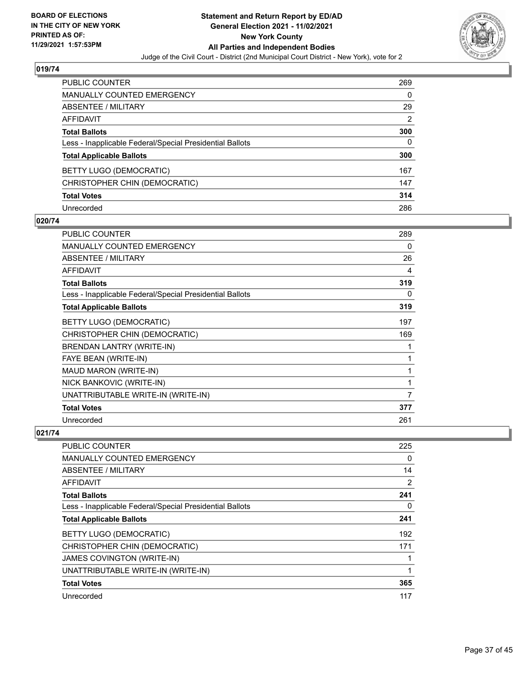

| PUBLIC COUNTER                                           | 269            |
|----------------------------------------------------------|----------------|
| <b>MANUALLY COUNTED EMERGENCY</b>                        | 0              |
| ABSENTEE / MILITARY                                      | 29             |
| <b>AFFIDAVIT</b>                                         | $\overline{2}$ |
| <b>Total Ballots</b>                                     | 300            |
| Less - Inapplicable Federal/Special Presidential Ballots | 0              |
| <b>Total Applicable Ballots</b>                          | 300            |
| BETTY LUGO (DEMOCRATIC)                                  | 167            |
| CHRISTOPHER CHIN (DEMOCRATIC)                            | 147            |
| <b>Total Votes</b>                                       | 314            |
| Unrecorded                                               | 286            |

## **020/74**

| <b>PUBLIC COUNTER</b>                                    | 289 |
|----------------------------------------------------------|-----|
| MANUALLY COUNTED EMERGENCY                               | 0   |
| ABSENTEE / MILITARY                                      | 26  |
| <b>AFFIDAVIT</b>                                         | 4   |
| <b>Total Ballots</b>                                     | 319 |
| Less - Inapplicable Federal/Special Presidential Ballots | 0   |
| <b>Total Applicable Ballots</b>                          | 319 |
| BETTY LUGO (DEMOCRATIC)                                  | 197 |
| CHRISTOPHER CHIN (DEMOCRATIC)                            | 169 |
| BRENDAN LANTRY (WRITE-IN)                                | 1   |
| FAYE BEAN (WRITE-IN)                                     | 1   |
| MAUD MARON (WRITE-IN)                                    | 1   |
| NICK BANKOVIC (WRITE-IN)                                 | 1   |
| UNATTRIBUTABLE WRITE-IN (WRITE-IN)                       | 7   |
| <b>Total Votes</b>                                       | 377 |
| Unrecorded                                               | 261 |

| <b>PUBLIC COUNTER</b>                                    | 225      |
|----------------------------------------------------------|----------|
| <b>MANUALLY COUNTED EMERGENCY</b>                        | $\Omega$ |
| ABSENTEE / MILITARY                                      | 14       |
| AFFIDAVIT                                                | 2        |
| <b>Total Ballots</b>                                     | 241      |
| Less - Inapplicable Federal/Special Presidential Ballots | 0        |
| <b>Total Applicable Ballots</b>                          | 241      |
| BETTY LUGO (DEMOCRATIC)                                  | 192      |
| CHRISTOPHER CHIN (DEMOCRATIC)                            | 171      |
| <b>JAMES COVINGTON (WRITE-IN)</b>                        |          |
| UNATTRIBUTABLE WRITE-IN (WRITE-IN)                       |          |
| <b>Total Votes</b>                                       | 365      |
| Unrecorded                                               | 117      |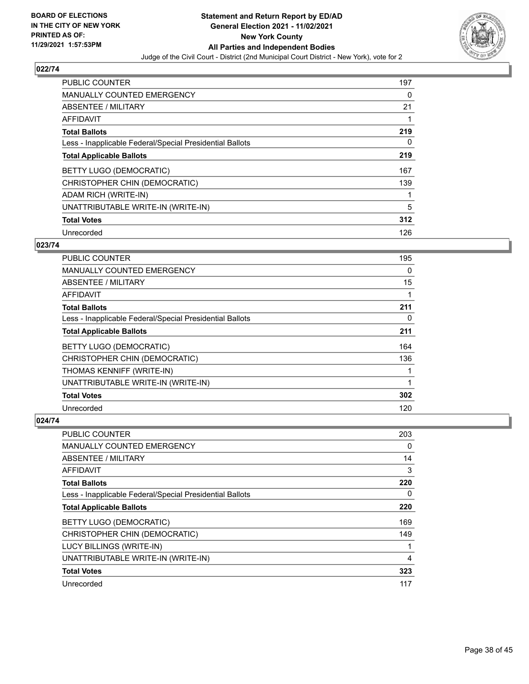

| <b>PUBLIC COUNTER</b>                                    | 197 |
|----------------------------------------------------------|-----|
| <b>MANUALLY COUNTED EMERGENCY</b>                        | 0   |
| ABSENTEE / MILITARY                                      | 21  |
| <b>AFFIDAVIT</b>                                         |     |
| <b>Total Ballots</b>                                     | 219 |
| Less - Inapplicable Federal/Special Presidential Ballots | 0   |
| <b>Total Applicable Ballots</b>                          | 219 |
| BETTY LUGO (DEMOCRATIC)                                  | 167 |
| CHRISTOPHER CHIN (DEMOCRATIC)                            | 139 |
| ADAM RICH (WRITE-IN)                                     |     |
| UNATTRIBUTABLE WRITE-IN (WRITE-IN)                       | 5   |
| <b>Total Votes</b>                                       | 312 |
| Unrecorded                                               | 126 |

## **023/74**

| <b>PUBLIC COUNTER</b>                                    | 195 |
|----------------------------------------------------------|-----|
| <b>MANUALLY COUNTED EMERGENCY</b>                        | 0   |
| ABSENTEE / MILITARY                                      | 15  |
| <b>AFFIDAVIT</b>                                         |     |
| <b>Total Ballots</b>                                     | 211 |
| Less - Inapplicable Federal/Special Presidential Ballots | 0   |
| <b>Total Applicable Ballots</b>                          | 211 |
| <b>BETTY LUGO (DEMOCRATIC)</b>                           | 164 |
| CHRISTOPHER CHIN (DEMOCRATIC)                            | 136 |
| THOMAS KENNIFF (WRITE-IN)                                |     |
| UNATTRIBUTABLE WRITE-IN (WRITE-IN)                       |     |
| <b>Total Votes</b>                                       | 302 |
| Unrecorded                                               | 120 |

| PUBLIC COUNTER                                           | 203 |
|----------------------------------------------------------|-----|
| MANUALLY COUNTED EMERGENCY                               | 0   |
| ABSENTEE / MILITARY                                      | 14  |
| AFFIDAVIT                                                | 3   |
| <b>Total Ballots</b>                                     | 220 |
| Less - Inapplicable Federal/Special Presidential Ballots | 0   |
| <b>Total Applicable Ballots</b>                          | 220 |
| BETTY LUGO (DEMOCRATIC)                                  | 169 |
| CHRISTOPHER CHIN (DEMOCRATIC)                            | 149 |
| LUCY BILLINGS (WRITE-IN)                                 |     |
| UNATTRIBUTABLE WRITE-IN (WRITE-IN)                       | 4   |
| <b>Total Votes</b>                                       | 323 |
| Unrecorded                                               | 117 |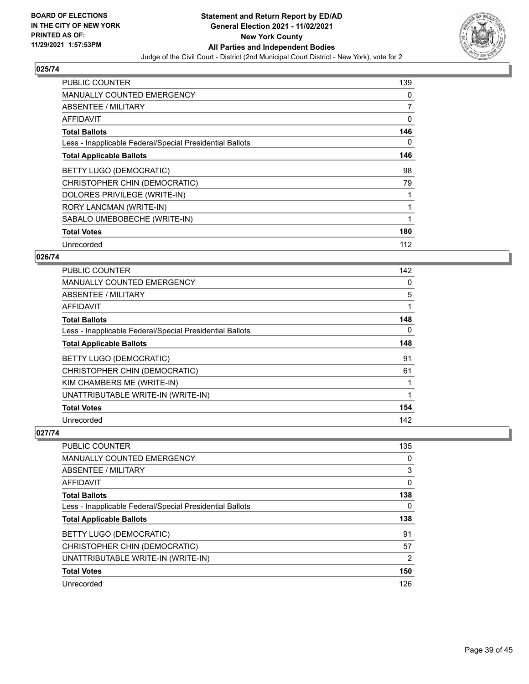

| PUBLIC COUNTER                                           | 139 |
|----------------------------------------------------------|-----|
| <b>MANUALLY COUNTED EMERGENCY</b>                        | 0   |
| ABSENTEE / MILITARY                                      | 7   |
| AFFIDAVIT                                                | 0   |
| <b>Total Ballots</b>                                     | 146 |
| Less - Inapplicable Federal/Special Presidential Ballots | 0   |
| <b>Total Applicable Ballots</b>                          | 146 |
| BETTY LUGO (DEMOCRATIC)                                  | 98  |
| CHRISTOPHER CHIN (DEMOCRATIC)                            | 79  |
| DOLORES PRIVILEGE (WRITE-IN)                             | 1   |
| RORY LANCMAN (WRITE-IN)                                  | 1   |
| SABALO UMEBOBECHE (WRITE-IN)                             | 1   |
| <b>Total Votes</b>                                       | 180 |
| Unrecorded                                               | 112 |

## **026/74**

| PUBLIC COUNTER                                           | 142 |
|----------------------------------------------------------|-----|
| <b>MANUALLY COUNTED EMERGENCY</b>                        | 0   |
| ABSENTEE / MILITARY                                      | 5   |
| AFFIDAVIT                                                | 1   |
| <b>Total Ballots</b>                                     | 148 |
| Less - Inapplicable Federal/Special Presidential Ballots | 0   |
| <b>Total Applicable Ballots</b>                          | 148 |
| BETTY LUGO (DEMOCRATIC)                                  | 91  |
| CHRISTOPHER CHIN (DEMOCRATIC)                            | 61  |
| KIM CHAMBERS ME (WRITE-IN)                               |     |
| UNATTRIBUTABLE WRITE-IN (WRITE-IN)                       | 1   |
| <b>Total Votes</b>                                       | 154 |
| Unrecorded                                               | 142 |

| PUBLIC COUNTER                                           | 135            |
|----------------------------------------------------------|----------------|
| <b>MANUALLY COUNTED EMERGENCY</b>                        | 0              |
| ABSENTEE / MILITARY                                      | 3              |
| <b>AFFIDAVIT</b>                                         | $\Omega$       |
| <b>Total Ballots</b>                                     | 138            |
| Less - Inapplicable Federal/Special Presidential Ballots | 0              |
| <b>Total Applicable Ballots</b>                          | 138            |
| <b>BETTY LUGO (DEMOCRATIC)</b>                           | 91             |
| CHRISTOPHER CHIN (DEMOCRATIC)                            | 57             |
| UNATTRIBUTABLE WRITE-IN (WRITE-IN)                       | $\overline{2}$ |
| <b>Total Votes</b>                                       | 150            |
| Unrecorded                                               | 126            |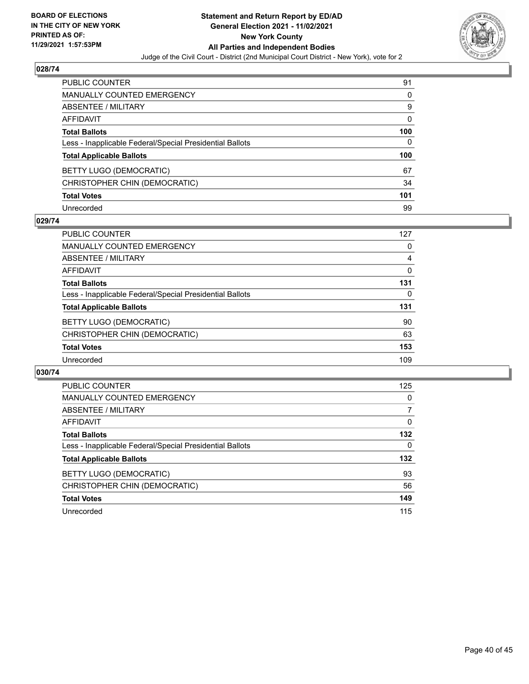

| PUBLIC COUNTER                                           | 91       |
|----------------------------------------------------------|----------|
| <b>MANUALLY COUNTED EMERGENCY</b>                        | 0        |
| ABSENTEE / MILITARY                                      | 9        |
| <b>AFFIDAVIT</b>                                         | $\Omega$ |
| <b>Total Ballots</b>                                     | 100      |
| Less - Inapplicable Federal/Special Presidential Ballots | 0        |
| <b>Total Applicable Ballots</b>                          | 100      |
| BETTY LUGO (DEMOCRATIC)                                  | 67       |
| CHRISTOPHER CHIN (DEMOCRATIC)                            | 34       |
| <b>Total Votes</b>                                       | 101      |
| Unrecorded                                               | 99       |

## **029/74**

| <b>PUBLIC COUNTER</b>                                    | 127 |
|----------------------------------------------------------|-----|
| <b>MANUALLY COUNTED EMERGENCY</b>                        | 0   |
| ABSENTEE / MILITARY                                      | 4   |
| AFFIDAVIT                                                | 0   |
| <b>Total Ballots</b>                                     | 131 |
| Less - Inapplicable Federal/Special Presidential Ballots | 0   |
| <b>Total Applicable Ballots</b>                          | 131 |
| BETTY LUGO (DEMOCRATIC)                                  | 90  |
| CHRISTOPHER CHIN (DEMOCRATIC)                            | 63  |
| <b>Total Votes</b>                                       | 153 |
| Unrecorded                                               | 109 |

| PUBLIC COUNTER                                           | 125      |
|----------------------------------------------------------|----------|
| MANUALLY COUNTED EMERGENCY                               | 0        |
| ABSENTEE / MILITARY                                      | 7        |
| AFFIDAVIT                                                | $\Omega$ |
| <b>Total Ballots</b>                                     | 132      |
| Less - Inapplicable Federal/Special Presidential Ballots | 0        |
| <b>Total Applicable Ballots</b>                          | 132      |
| BETTY LUGO (DEMOCRATIC)                                  | 93       |
| CHRISTOPHER CHIN (DEMOCRATIC)                            | 56       |
| <b>Total Votes</b>                                       | 149      |
| Unrecorded                                               | 115      |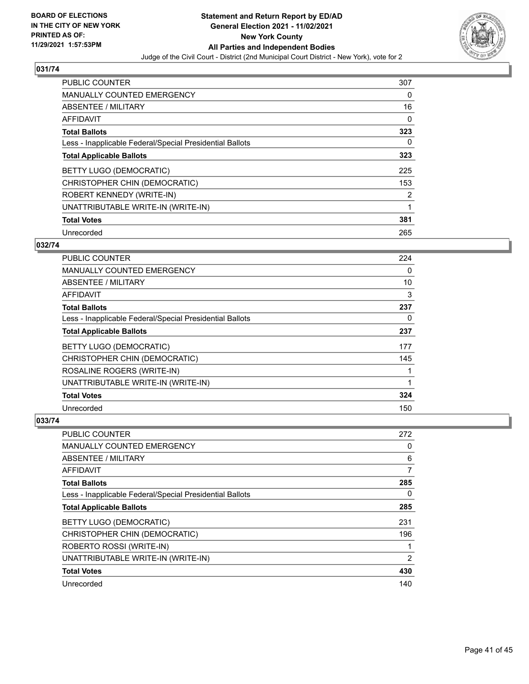

| PUBLIC COUNTER                                           | 307 |
|----------------------------------------------------------|-----|
| <b>MANUALLY COUNTED EMERGENCY</b>                        | 0   |
| ABSENTEE / MILITARY                                      | 16  |
| <b>AFFIDAVIT</b>                                         | 0   |
| <b>Total Ballots</b>                                     | 323 |
| Less - Inapplicable Federal/Special Presidential Ballots | 0   |
| <b>Total Applicable Ballots</b>                          | 323 |
| BETTY LUGO (DEMOCRATIC)                                  | 225 |
| CHRISTOPHER CHIN (DEMOCRATIC)                            | 153 |
| ROBERT KENNEDY (WRITE-IN)                                | 2   |
| UNATTRIBUTABLE WRITE-IN (WRITE-IN)                       | 1   |
| <b>Total Votes</b>                                       | 381 |
| Unrecorded                                               | 265 |

## **032/74**

| <b>PUBLIC COUNTER</b>                                    | 224      |
|----------------------------------------------------------|----------|
| MANUALLY COUNTED EMERGENCY                               | $\Omega$ |
| ABSENTEE / MILITARY                                      | 10       |
| <b>AFFIDAVIT</b>                                         | 3        |
| <b>Total Ballots</b>                                     | 237      |
| Less - Inapplicable Federal/Special Presidential Ballots | 0        |
| <b>Total Applicable Ballots</b>                          | 237      |
| BETTY LUGO (DEMOCRATIC)                                  | 177      |
| CHRISTOPHER CHIN (DEMOCRATIC)                            | 145      |
| ROSALINE ROGERS (WRITE-IN)                               |          |
| UNATTRIBUTABLE WRITE-IN (WRITE-IN)                       |          |
| <b>Total Votes</b>                                       | 324      |
| Unrecorded                                               | 150      |

| PUBLIC COUNTER                                           | 272 |
|----------------------------------------------------------|-----|
| <b>MANUALLY COUNTED EMERGENCY</b>                        | 0   |
| ABSENTEE / MILITARY                                      | 6   |
| AFFIDAVIT                                                |     |
| <b>Total Ballots</b>                                     | 285 |
| Less - Inapplicable Federal/Special Presidential Ballots | 0   |
| <b>Total Applicable Ballots</b>                          | 285 |
| BETTY LUGO (DEMOCRATIC)                                  | 231 |
| CHRISTOPHER CHIN (DEMOCRATIC)                            | 196 |
| ROBERTO ROSSI (WRITE-IN)                                 |     |
| UNATTRIBUTABLE WRITE-IN (WRITE-IN)                       | 2   |
| <b>Total Votes</b>                                       | 430 |
| Unrecorded                                               | 140 |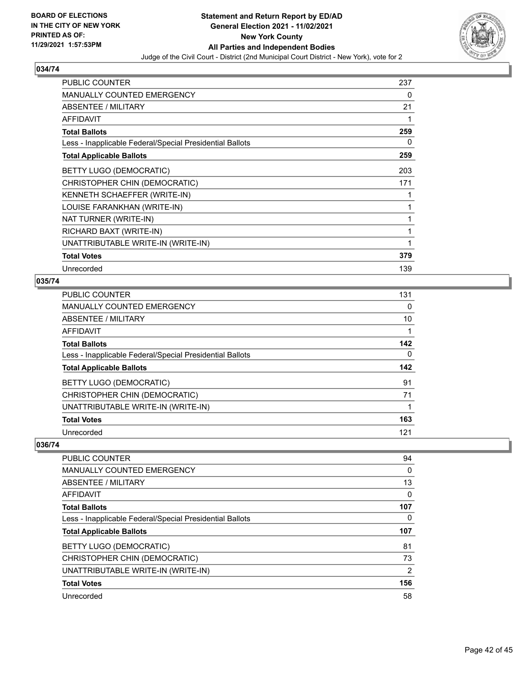

| PUBLIC COUNTER                                           | 237 |
|----------------------------------------------------------|-----|
| <b>MANUALLY COUNTED EMERGENCY</b>                        | 0   |
| ABSENTEE / MILITARY                                      | 21  |
| <b>AFFIDAVIT</b>                                         | 1   |
| <b>Total Ballots</b>                                     | 259 |
| Less - Inapplicable Federal/Special Presidential Ballots | 0   |
| <b>Total Applicable Ballots</b>                          | 259 |
| BETTY LUGO (DEMOCRATIC)                                  | 203 |
| CHRISTOPHER CHIN (DEMOCRATIC)                            | 171 |
| KENNETH SCHAEFFER (WRITE-IN)                             |     |
| LOUISE FARANKHAN (WRITE-IN)                              | 1   |
| NAT TURNER (WRITE-IN)                                    | 1   |
| RICHARD BAXT (WRITE-IN)                                  | 1   |
| UNATTRIBUTABLE WRITE-IN (WRITE-IN)                       | 1   |
| <b>Total Votes</b>                                       | 379 |
| Unrecorded                                               | 139 |

## **035/74**

| <b>PUBLIC COUNTER</b>                                    | 131 |
|----------------------------------------------------------|-----|
| MANUALLY COUNTED EMERGENCY                               | 0   |
| ABSENTEE / MILITARY                                      | 10  |
| AFFIDAVIT                                                |     |
| <b>Total Ballots</b>                                     | 142 |
| Less - Inapplicable Federal/Special Presidential Ballots | 0   |
| <b>Total Applicable Ballots</b>                          | 142 |
| <b>BETTY LUGO (DEMOCRATIC)</b>                           | 91  |
| CHRISTOPHER CHIN (DEMOCRATIC)                            | 71  |
| UNATTRIBUTABLE WRITE-IN (WRITE-IN)                       |     |
| <b>Total Votes</b>                                       | 163 |
| Unrecorded                                               | 121 |

| PUBLIC COUNTER                                           | 94  |
|----------------------------------------------------------|-----|
| <b>MANUALLY COUNTED EMERGENCY</b>                        | 0   |
| ABSENTEE / MILITARY                                      | 13  |
| AFFIDAVIT                                                | 0   |
| <b>Total Ballots</b>                                     | 107 |
| Less - Inapplicable Federal/Special Presidential Ballots | 0   |
| <b>Total Applicable Ballots</b>                          | 107 |
| <b>BETTY LUGO (DEMOCRATIC)</b>                           | 81  |
| CHRISTOPHER CHIN (DEMOCRATIC)                            | 73  |
| UNATTRIBUTABLE WRITE-IN (WRITE-IN)                       | 2   |
| <b>Total Votes</b>                                       | 156 |
| Unrecorded                                               | 58  |
|                                                          |     |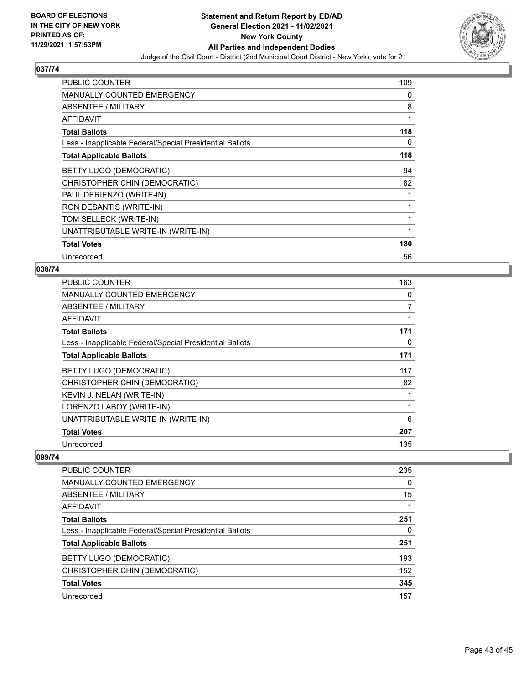

| <b>PUBLIC COUNTER</b>                                    | 109 |
|----------------------------------------------------------|-----|
| <b>MANUALLY COUNTED EMERGENCY</b>                        | 0   |
| <b>ABSENTEE / MILITARY</b>                               | 8   |
| AFFIDAVIT                                                | 1   |
| <b>Total Ballots</b>                                     | 118 |
| Less - Inapplicable Federal/Special Presidential Ballots | 0   |
| <b>Total Applicable Ballots</b>                          | 118 |
| BETTY LUGO (DEMOCRATIC)                                  | 94  |
| CHRISTOPHER CHIN (DEMOCRATIC)                            | 82  |
| PAUL DERIENZO (WRITE-IN)                                 | 1   |
| RON DESANTIS (WRITE-IN)                                  | 1   |
| TOM SELLECK (WRITE-IN)                                   | 1   |
| UNATTRIBUTABLE WRITE-IN (WRITE-IN)                       | 1   |
| <b>Total Votes</b>                                       | 180 |
| Unrecorded                                               | 56  |

#### **038/74**

| <b>PUBLIC COUNTER</b>                                    | 163 |
|----------------------------------------------------------|-----|
| <b>MANUALLY COUNTED EMERGENCY</b>                        | 0   |
| ABSENTEE / MILITARY                                      | 7   |
| AFFIDAVIT                                                |     |
| <b>Total Ballots</b>                                     | 171 |
| Less - Inapplicable Federal/Special Presidential Ballots | 0   |
| <b>Total Applicable Ballots</b>                          | 171 |
| BETTY LUGO (DEMOCRATIC)                                  | 117 |
| CHRISTOPHER CHIN (DEMOCRATIC)                            | 82  |
| KEVIN J. NELAN (WRITE-IN)                                |     |
| LORENZO LABOY (WRITE-IN)                                 |     |
| UNATTRIBUTABLE WRITE-IN (WRITE-IN)                       | 6   |
| <b>Total Votes</b>                                       | 207 |
| Unrecorded                                               | 135 |

| <b>PUBLIC COUNTER</b>                                    | 235 |
|----------------------------------------------------------|-----|
| MANUALLY COUNTED EMERGENCY                               | 0   |
| ABSENTEE / MILITARY                                      | 15  |
| AFFIDAVIT                                                |     |
| <b>Total Ballots</b>                                     | 251 |
| Less - Inapplicable Federal/Special Presidential Ballots | 0   |
| <b>Total Applicable Ballots</b>                          | 251 |
| BETTY LUGO (DEMOCRATIC)                                  | 193 |
| CHRISTOPHER CHIN (DEMOCRATIC)                            | 152 |
| <b>Total Votes</b>                                       | 345 |
| Unrecorded                                               | 157 |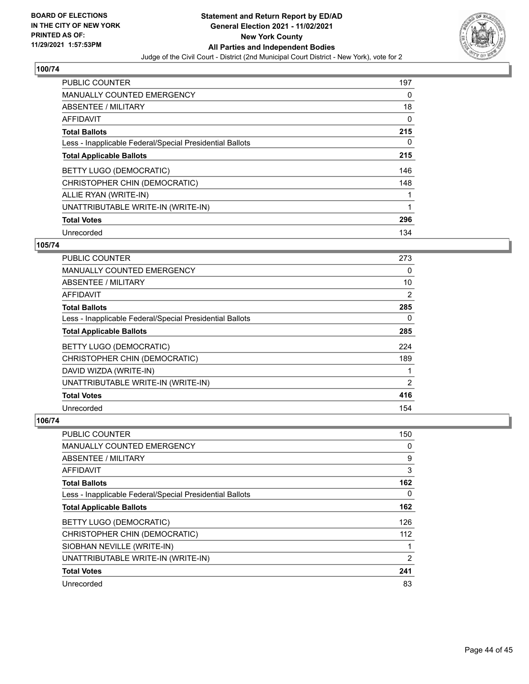

| <b>PUBLIC COUNTER</b>                                    | 197      |
|----------------------------------------------------------|----------|
| <b>MANUALLY COUNTED EMERGENCY</b>                        | 0        |
| ABSENTEE / MILITARY                                      | 18       |
| <b>AFFIDAVIT</b>                                         | 0        |
| <b>Total Ballots</b>                                     | 215      |
| Less - Inapplicable Federal/Special Presidential Ballots | $\Omega$ |
| <b>Total Applicable Ballots</b>                          | 215      |
| BETTY LUGO (DEMOCRATIC)                                  | 146      |
| CHRISTOPHER CHIN (DEMOCRATIC)                            | 148      |
| ALLIE RYAN (WRITE-IN)                                    |          |
| UNATTRIBUTABLE WRITE-IN (WRITE-IN)                       | 1        |
| <b>Total Votes</b>                                       | 296      |
| Unrecorded                                               | 134      |

## **105/74**

| <b>PUBLIC COUNTER</b>                                    | 273 |
|----------------------------------------------------------|-----|
| <b>MANUALLY COUNTED EMERGENCY</b>                        | 0   |
| ABSENTEE / MILITARY                                      | 10  |
| <b>AFFIDAVIT</b>                                         | 2   |
| <b>Total Ballots</b>                                     | 285 |
| Less - Inapplicable Federal/Special Presidential Ballots | 0   |
| <b>Total Applicable Ballots</b>                          | 285 |
| <b>BETTY LUGO (DEMOCRATIC)</b>                           | 224 |
| CHRISTOPHER CHIN (DEMOCRATIC)                            | 189 |
| DAVID WIZDA (WRITE-IN)                                   |     |
| UNATTRIBUTABLE WRITE-IN (WRITE-IN)                       | 2   |
| <b>Total Votes</b>                                       | 416 |
| Unrecorded                                               | 154 |

| PUBLIC COUNTER                                           | 150            |
|----------------------------------------------------------|----------------|
| MANUALLY COUNTED EMERGENCY                               | 0              |
| ABSENTEE / MILITARY                                      | 9              |
| AFFIDAVIT                                                | 3              |
| <b>Total Ballots</b>                                     | 162            |
| Less - Inapplicable Federal/Special Presidential Ballots | 0              |
| <b>Total Applicable Ballots</b>                          | 162            |
| BETTY LUGO (DEMOCRATIC)                                  | 126            |
| CHRISTOPHER CHIN (DEMOCRATIC)                            | 112            |
| SIOBHAN NEVILLE (WRITE-IN)                               |                |
| UNATTRIBUTABLE WRITE-IN (WRITE-IN)                       | $\overline{2}$ |
| <b>Total Votes</b>                                       | 241            |
| Unrecorded                                               | 83             |